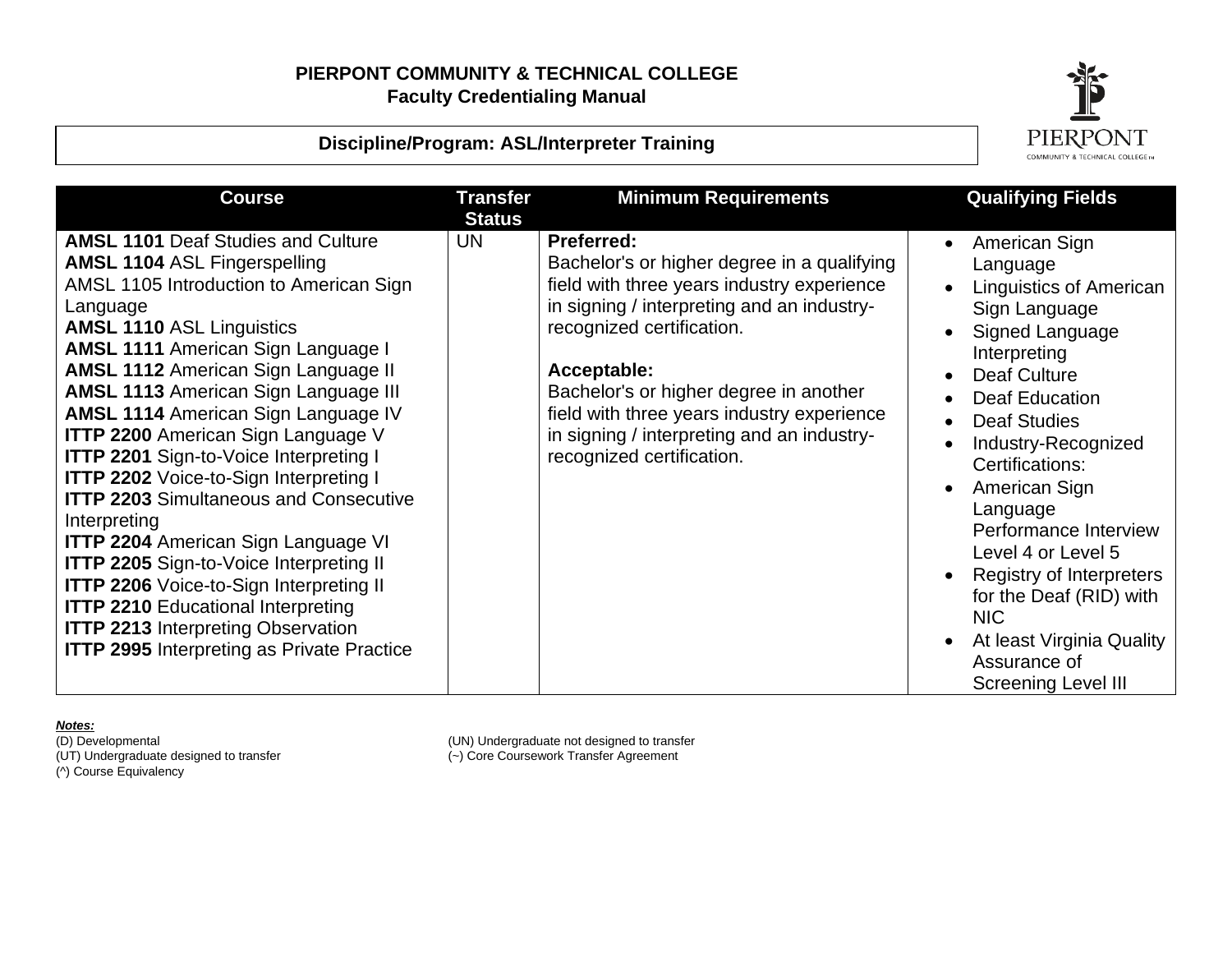# **Discipline/Program: ASL/Interpreter Training**



| <b>Course</b>                                                                                                                                                                                                                                                                                                                                                                                                                                                                                                                                                                                                                                                                                                                                                                                                                                                                        | Transfer<br><b>Status</b> | <b>Minimum Requirements</b>                                                                                                                                                                                                                                                                                                                                                 | <b>Qualifying Fields</b>                                                                                                                                                                                                                                                                                                                                                                                                                                                                                               |
|--------------------------------------------------------------------------------------------------------------------------------------------------------------------------------------------------------------------------------------------------------------------------------------------------------------------------------------------------------------------------------------------------------------------------------------------------------------------------------------------------------------------------------------------------------------------------------------------------------------------------------------------------------------------------------------------------------------------------------------------------------------------------------------------------------------------------------------------------------------------------------------|---------------------------|-----------------------------------------------------------------------------------------------------------------------------------------------------------------------------------------------------------------------------------------------------------------------------------------------------------------------------------------------------------------------------|------------------------------------------------------------------------------------------------------------------------------------------------------------------------------------------------------------------------------------------------------------------------------------------------------------------------------------------------------------------------------------------------------------------------------------------------------------------------------------------------------------------------|
| <b>AMSL 1101 Deaf Studies and Culture</b><br><b>AMSL 1104 ASL Fingerspelling</b><br>AMSL 1105 Introduction to American Sign<br>Language<br><b>AMSL 1110 ASL Linguistics</b><br><b>AMSL 1111 American Sign Language I</b><br><b>AMSL 1112 American Sign Language II</b><br><b>AMSL 1113 American Sign Language III</b><br><b>AMSL 1114 American Sign Language IV</b><br><b>ITTP 2200</b> American Sign Language V<br><b>ITTP 2201 Sign-to-Voice Interpreting I</b><br><b>ITTP 2202 Voice-to-Sign Interpreting I</b><br><b>ITTP 2203 Simultaneous and Consecutive</b><br>Interpreting<br><b>ITTP 2204 American Sign Language VI</b><br><b>ITTP 2205 Sign-to-Voice Interpreting II</b><br><b>ITTP 2206</b> Voice-to-Sign Interpreting II<br><b>ITTP 2210 Educational Interpreting</b><br><b>ITTP 2213 Interpreting Observation</b><br><b>ITTP 2995</b> Interpreting as Private Practice | <b>UN</b>                 | <b>Preferred:</b><br>Bachelor's or higher degree in a qualifying<br>field with three years industry experience<br>in signing / interpreting and an industry-<br>recognized certification.<br>Acceptable:<br>Bachelor's or higher degree in another<br>field with three years industry experience<br>in signing / interpreting and an industry-<br>recognized certification. | American Sign<br>$\bullet$<br>Language<br>Linguistics of American<br>$\bullet$<br>Sign Language<br>Signed Language<br>Interpreting<br><b>Deaf Culture</b><br>$\bullet$<br><b>Deaf Education</b><br><b>Deaf Studies</b><br>Industry-Recognized<br>$\bullet$<br>Certifications:<br>American Sign<br>$\bullet$<br>Language<br>Performance Interview<br>Level 4 or Level 5<br>Registry of Interpreters<br>for the Deaf (RID) with<br><b>NIC</b><br>At least Virginia Quality<br>Assurance of<br><b>Screening Level III</b> |

*Notes:*<br>(D) Developmental<br>(UT) Undergraduate designed to transfer (^) Course Equivalency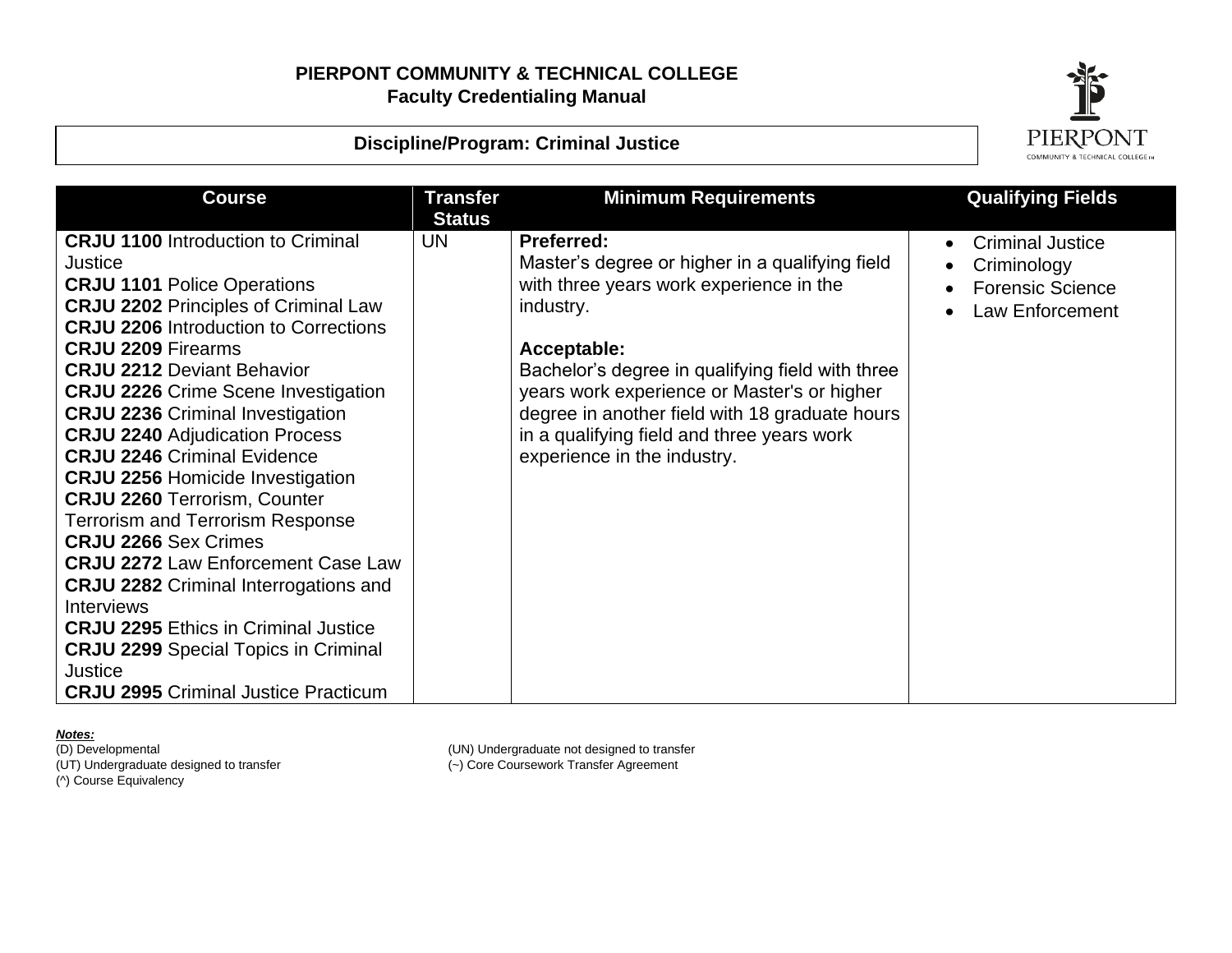

### **Discipline/Program: Criminal Justice**

| <b>Course</b>                                                                    | <b>Transfer</b><br><b>Status</b> | <b>Minimum Requirements</b>                                                                  | <b>Qualifying Fields</b> |
|----------------------------------------------------------------------------------|----------------------------------|----------------------------------------------------------------------------------------------|--------------------------|
| <b>CRJU 1100</b> Introduction to Criminal                                        | <b>UN</b>                        | <b>Preferred:</b>                                                                            | <b>Criminal Justice</b>  |
| Justice                                                                          |                                  | Master's degree or higher in a qualifying field                                              | Criminology              |
| <b>CRJU 1101 Police Operations</b>                                               |                                  | with three years work experience in the                                                      | <b>Forensic Science</b>  |
| <b>CRJU 2202 Principles of Criminal Law</b>                                      |                                  | industry.                                                                                    | Law Enforcement          |
| <b>CRJU 2206 Introduction to Corrections</b>                                     |                                  |                                                                                              |                          |
| <b>CRJU 2209 Firearms</b>                                                        |                                  | Acceptable:                                                                                  |                          |
| <b>CRJU 2212 Deviant Behavior</b>                                                |                                  | Bachelor's degree in qualifying field with three                                             |                          |
| <b>CRJU 2226 Crime Scene Investigation</b>                                       |                                  | years work experience or Master's or higher                                                  |                          |
| <b>CRJU 2236 Criminal Investigation</b><br><b>CRJU 2240 Adjudication Process</b> |                                  | degree in another field with 18 graduate hours<br>in a qualifying field and three years work |                          |
| <b>CRJU 2246 Criminal Evidence</b>                                               |                                  | experience in the industry.                                                                  |                          |
| <b>CRJU 2256 Homicide Investigation</b>                                          |                                  |                                                                                              |                          |
| <b>CRJU 2260 Terrorism, Counter</b>                                              |                                  |                                                                                              |                          |
| <b>Terrorism and Terrorism Response</b>                                          |                                  |                                                                                              |                          |
| <b>CRJU 2266 Sex Crimes</b>                                                      |                                  |                                                                                              |                          |
| <b>CRJU 2272 Law Enforcement Case Law</b>                                        |                                  |                                                                                              |                          |
| <b>CRJU 2282 Criminal Interrogations and</b>                                     |                                  |                                                                                              |                          |
| <b>Interviews</b>                                                                |                                  |                                                                                              |                          |
| <b>CRJU 2295 Ethics in Criminal Justice</b>                                      |                                  |                                                                                              |                          |
| <b>CRJU 2299</b> Special Topics in Criminal                                      |                                  |                                                                                              |                          |
| <b>Justice</b>                                                                   |                                  |                                                                                              |                          |
| <b>CRJU 2995</b> Criminal Justice Practicum                                      |                                  |                                                                                              |                          |

**Notes:**<br>(D) Developmental (UT) Undergraduate designed to transfer (~) Core Coursework Transfer Agreement (^) Course Equivalency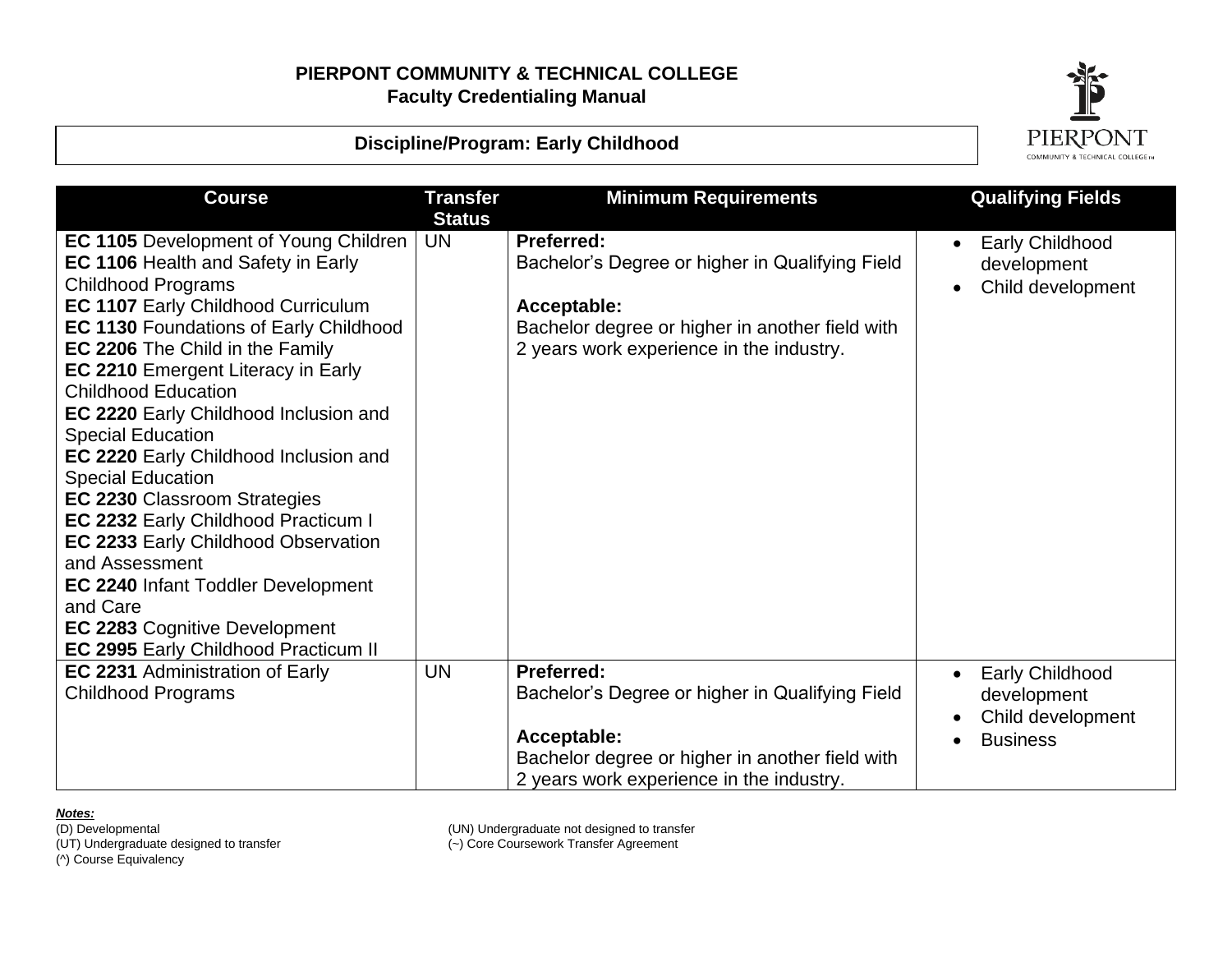

### **Discipline/Program: Early Childhood**

| <b>Course</b>                                                                                                                                                                                                                                                                                                                                                                                                                                                                                                                                                                                                                                                                                                                                                              | <b>Transfer</b>            | <b>Minimum Requirements</b>                                                                                                                                                 | <b>Qualifying Fields</b>                                                      |
|----------------------------------------------------------------------------------------------------------------------------------------------------------------------------------------------------------------------------------------------------------------------------------------------------------------------------------------------------------------------------------------------------------------------------------------------------------------------------------------------------------------------------------------------------------------------------------------------------------------------------------------------------------------------------------------------------------------------------------------------------------------------------|----------------------------|-----------------------------------------------------------------------------------------------------------------------------------------------------------------------------|-------------------------------------------------------------------------------|
| <b>EC 1105</b> Development of Young Children<br><b>EC 1106 Health and Safety in Early</b><br><b>Childhood Programs</b><br><b>EC 1107 Early Childhood Curriculum</b><br><b>EC 1130 Foundations of Early Childhood</b><br>EC 2206 The Child in the Family<br><b>EC 2210 Emergent Literacy in Early</b><br><b>Childhood Education</b><br>EC 2220 Early Childhood Inclusion and<br><b>Special Education</b><br>EC 2220 Early Childhood Inclusion and<br><b>Special Education</b><br><b>EC 2230 Classroom Strategies</b><br>EC 2232 Early Childhood Practicum I<br><b>EC 2233 Early Childhood Observation</b><br>and Assessment<br><b>EC 2240 Infant Toddler Development</b><br>and Care<br><b>EC 2283 Cognitive Development</b><br><b>EC 2995 Early Childhood Practicum II</b> | <b>Status</b><br><b>UN</b> | Preferred:<br>Bachelor's Degree or higher in Qualifying Field<br>Acceptable:<br>Bachelor degree or higher in another field with<br>2 years work experience in the industry. | <b>Early Childhood</b><br>development<br>Child development                    |
| <b>EC 2231 Administration of Early</b><br><b>Childhood Programs</b>                                                                                                                                                                                                                                                                                                                                                                                                                                                                                                                                                                                                                                                                                                        | <b>UN</b>                  | Preferred:<br>Bachelor's Degree or higher in Qualifying Field<br>Acceptable:<br>Bachelor degree or higher in another field with<br>2 years work experience in the industry. | <b>Early Childhood</b><br>development<br>Child development<br><b>Business</b> |

**Notes:**<br>(D) Developmental

(UT) Undergraduate designed to transfer<br>(^) Course Equivalency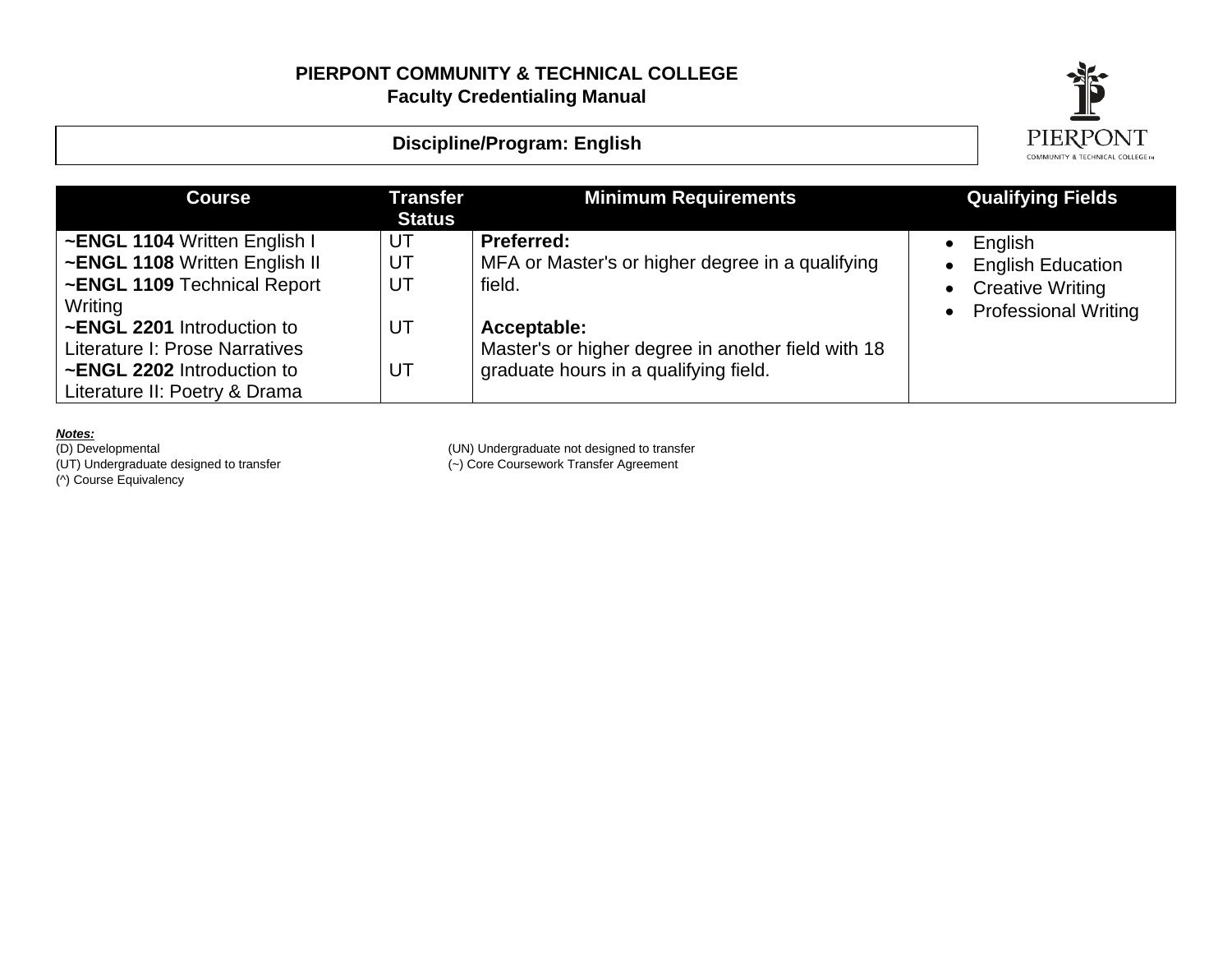

## **Discipline/Program: English**

| <b>Course</b>                                                                                                                                                                                                                          | <b>Transfer</b><br><b>Status</b> | <b>Minimum Requirements</b>                                                                                                                                                                   | <b>Qualifying Fields</b>                                                                                                        |
|----------------------------------------------------------------------------------------------------------------------------------------------------------------------------------------------------------------------------------------|----------------------------------|-----------------------------------------------------------------------------------------------------------------------------------------------------------------------------------------------|---------------------------------------------------------------------------------------------------------------------------------|
| ~ENGL 1104 Written English I<br>~ENGL 1108 Written English II<br>~ENGL 1109 Technical Report<br>Writing<br>~ENGL 2201 Introduction to<br>Literature I: Prose Narratives<br>~ENGL 2202 Introduction to<br>Literature II: Poetry & Drama | UT<br>UT<br>UT<br>UT<br>UT       | <b>Preferred:</b><br>MFA or Master's or higher degree in a qualifying<br>field.<br>Acceptable:<br>Master's or higher degree in another field with 18<br>graduate hours in a qualifying field. | English<br>$\bullet$<br><b>English Education</b><br>$\bullet$<br>• Creative Writing<br><b>Professional Writing</b><br>$\bullet$ |

*Notes:*

(UT) Undergraduate designed to transfer (~) Core Coursework Transfer Agreement (D) Developmental<br>(UT) Undergraduate designed to transfer<br>(^) Course Equivalency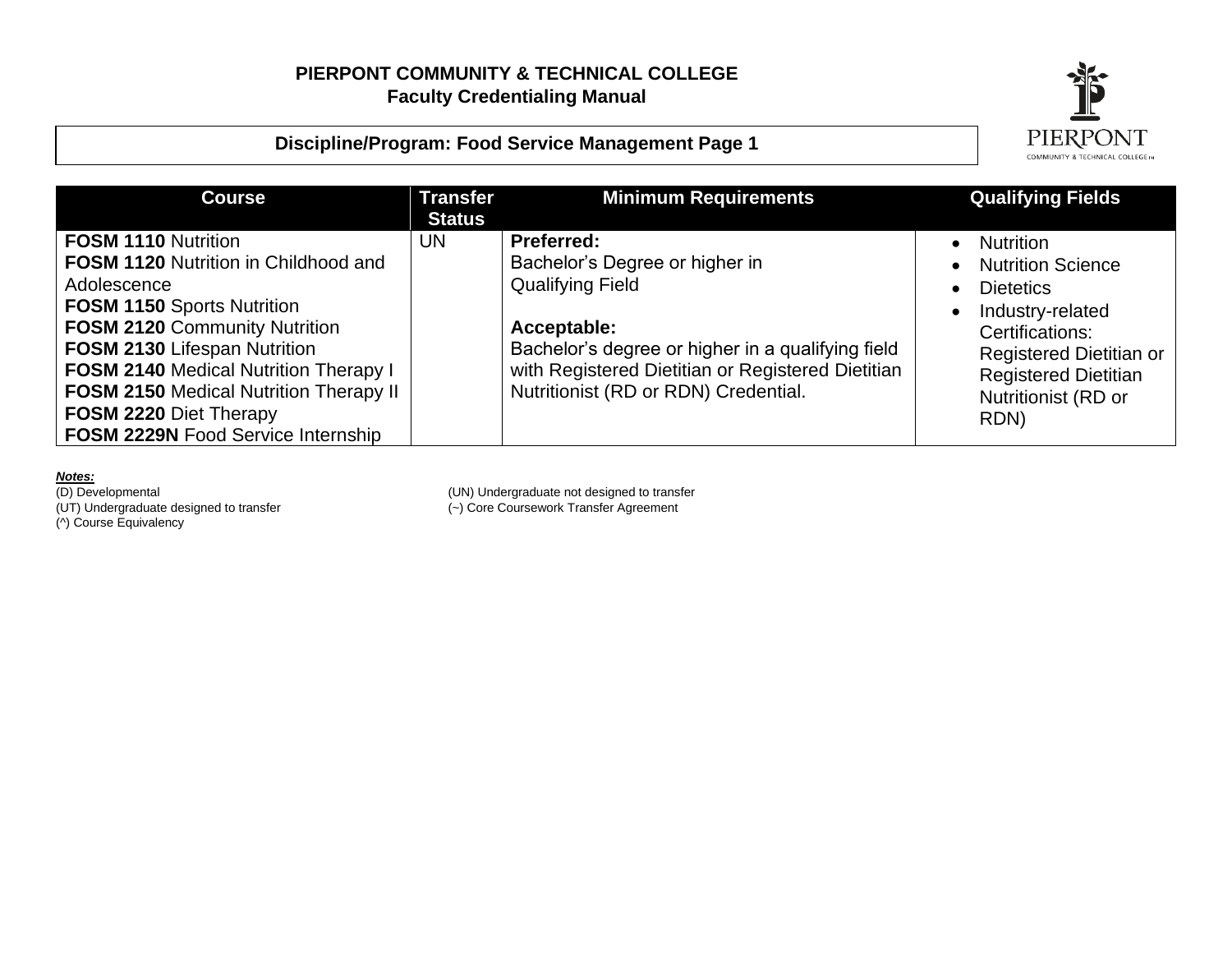# **Discipline/Program: Food Service Management Page 1**



| <b>Transfer</b><br><b>Status</b> | <b>Minimum Requirements</b>                                                                            | <b>Qualifying Fields</b>                                                  |
|----------------------------------|--------------------------------------------------------------------------------------------------------|---------------------------------------------------------------------------|
| UN.                              | Preferred:<br>Bachelor's Degree or higher in                                                           | <b>Nutrition</b><br><b>Nutrition Science</b>                              |
|                                  |                                                                                                        | <b>Dietetics</b><br>Industry-related                                      |
|                                  | Bachelor's degree or higher in a qualifying field<br>with Registered Dietitian or Registered Dietitian | Certifications:<br>Registered Dietitian or<br><b>Registered Dietitian</b> |
|                                  | Nutritionist (RD or RDN) Credential.                                                                   | Nutritionist (RD or<br>RDN)                                               |
|                                  |                                                                                                        | <b>Qualifying Field</b><br>Acceptable:                                    |

**Notes:**<br>(D) Developmental (^) Course Equivalency

(D) Developmental<br>
(UN) Undergraduate not designed to transfer<br>
(UT) Undergraduate designed to transfer<br>
(-) Core Coursework Transfer Agreement (~) Core Coursework Transfer Agreement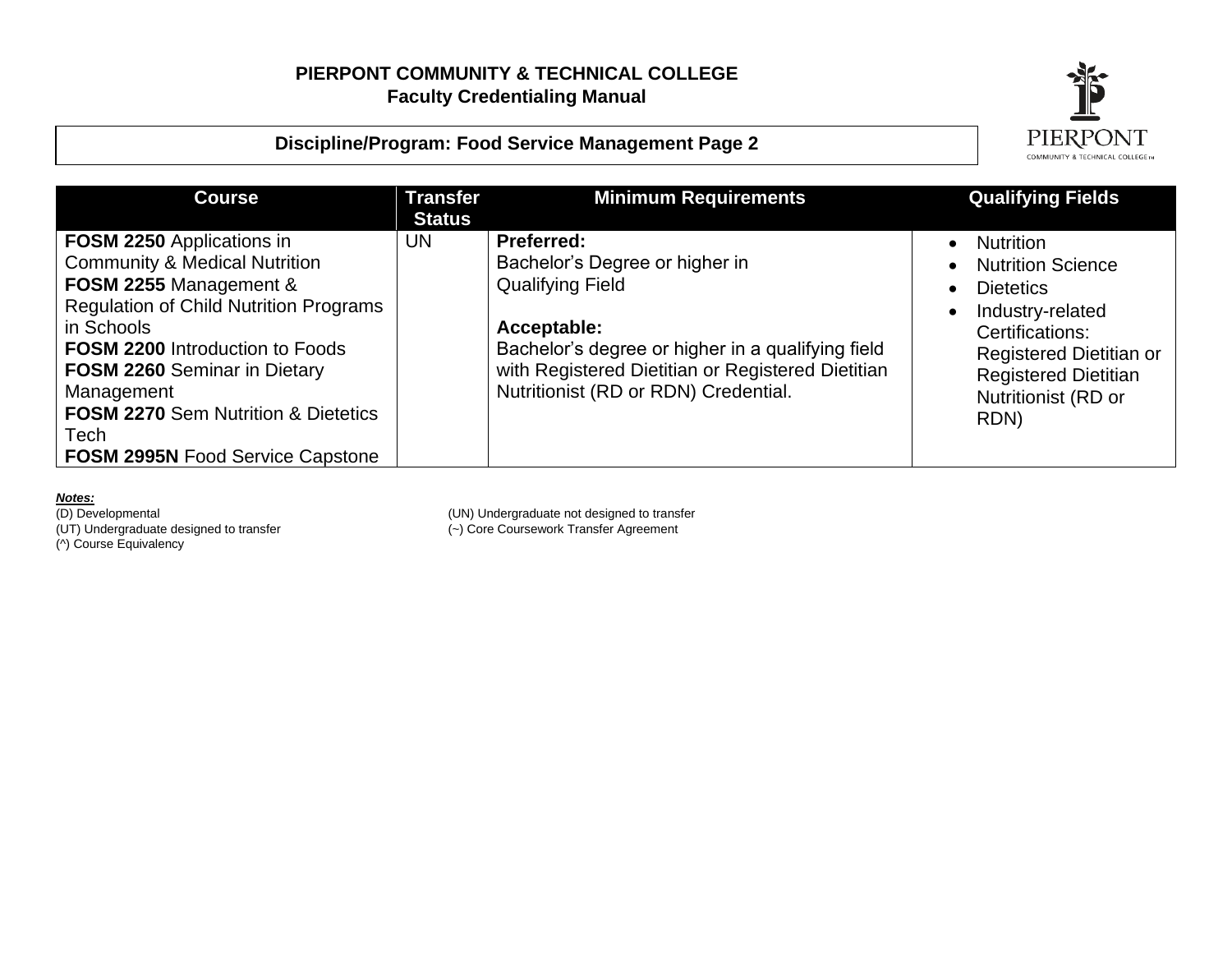



| <b>Course</b>                                                                                                                                                                                                                                                                                                                                                         | <b>Transfer</b><br><b>Status</b> | <b>Minimum Requirements</b>                                                                                                                                                                                                                     | <b>Qualifying Fields</b>                                                                                                                                                                         |
|-----------------------------------------------------------------------------------------------------------------------------------------------------------------------------------------------------------------------------------------------------------------------------------------------------------------------------------------------------------------------|----------------------------------|-------------------------------------------------------------------------------------------------------------------------------------------------------------------------------------------------------------------------------------------------|--------------------------------------------------------------------------------------------------------------------------------------------------------------------------------------------------|
| <b>FOSM 2250 Applications in</b><br><b>Community &amp; Medical Nutrition</b><br>FOSM 2255 Management &<br><b>Regulation of Child Nutrition Programs</b><br>in Schools<br><b>FOSM 2200 Introduction to Foods</b><br><b>FOSM 2260</b> Seminar in Dietary<br>Management<br><b>FOSM 2270</b> Sem Nutrition & Dietetics<br>Tech<br><b>FOSM 2995N Food Service Capstone</b> | <b>UN</b>                        | <b>Preferred:</b><br>Bachelor's Degree or higher in<br><b>Qualifying Field</b><br>Acceptable:<br>Bachelor's degree or higher in a qualifying field<br>with Registered Dietitian or Registered Dietitian<br>Nutritionist (RD or RDN) Credential. | <b>Nutrition</b><br><b>Nutrition Science</b><br><b>Dietetics</b><br>Industry-related<br>Certifications:<br>Registered Dietitian or<br><b>Registered Dietitian</b><br>Nutritionist (RD or<br>RDN) |

**Notes:**<br>(D) Developmental (^) Course Equivalency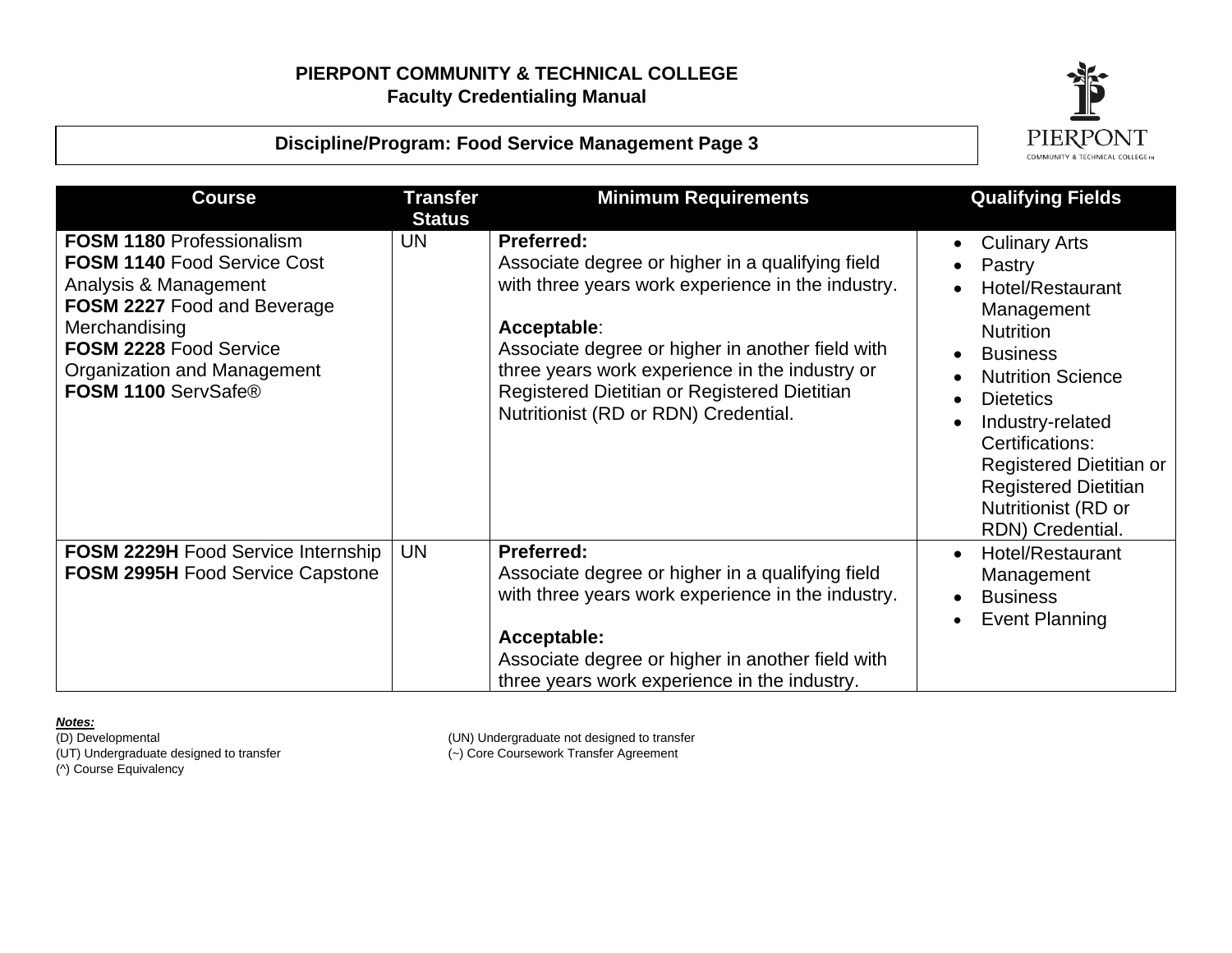



| <b>Course</b>                                                                                                                                                                                                                   | <b>Transfer</b><br><b>Status</b> | <b>Minimum Requirements</b>                                                                                                                                                                                                                                                                                                             | <b>Qualifying Fields</b>                                                                                                                                                                                                                                                                            |
|---------------------------------------------------------------------------------------------------------------------------------------------------------------------------------------------------------------------------------|----------------------------------|-----------------------------------------------------------------------------------------------------------------------------------------------------------------------------------------------------------------------------------------------------------------------------------------------------------------------------------------|-----------------------------------------------------------------------------------------------------------------------------------------------------------------------------------------------------------------------------------------------------------------------------------------------------|
| <b>FOSM 1180 Professionalism</b><br><b>FOSM 1140 Food Service Cost</b><br>Analysis & Management<br>FOSM 2227 Food and Beverage<br>Merchandising<br>FOSM 2228 Food Service<br>Organization and Management<br>FOSM 1100 ServSafe® | <b>UN</b>                        | <b>Preferred:</b><br>Associate degree or higher in a qualifying field<br>with three years work experience in the industry.<br>Acceptable:<br>Associate degree or higher in another field with<br>three years work experience in the industry or<br>Registered Dietitian or Registered Dietitian<br>Nutritionist (RD or RDN) Credential. | <b>Culinary Arts</b><br>Pastry<br>Hotel/Restaurant<br>Management<br><b>Nutrition</b><br><b>Business</b><br><b>Nutrition Science</b><br><b>Dietetics</b><br>Industry-related<br>Certifications:<br>Registered Dietitian or<br><b>Registered Dietitian</b><br>Nutritionist (RD or<br>RDN) Credential. |
| <b>FOSM 2229H Food Service Internship</b><br><b>FOSM 2995H Food Service Capstone</b>                                                                                                                                            | <b>UN</b>                        | <b>Preferred:</b><br>Associate degree or higher in a qualifying field<br>with three years work experience in the industry.<br>Acceptable:<br>Associate degree or higher in another field with<br>three years work experience in the industry.                                                                                           | Hotel/Restaurant<br>Management<br><b>Business</b><br><b>Event Planning</b>                                                                                                                                                                                                                          |

**Notes:**<br>(D) Developmental (UT) Undergraduate designed to transfer (~) Core Coursework Transfer Agreement (^) Course Equivalency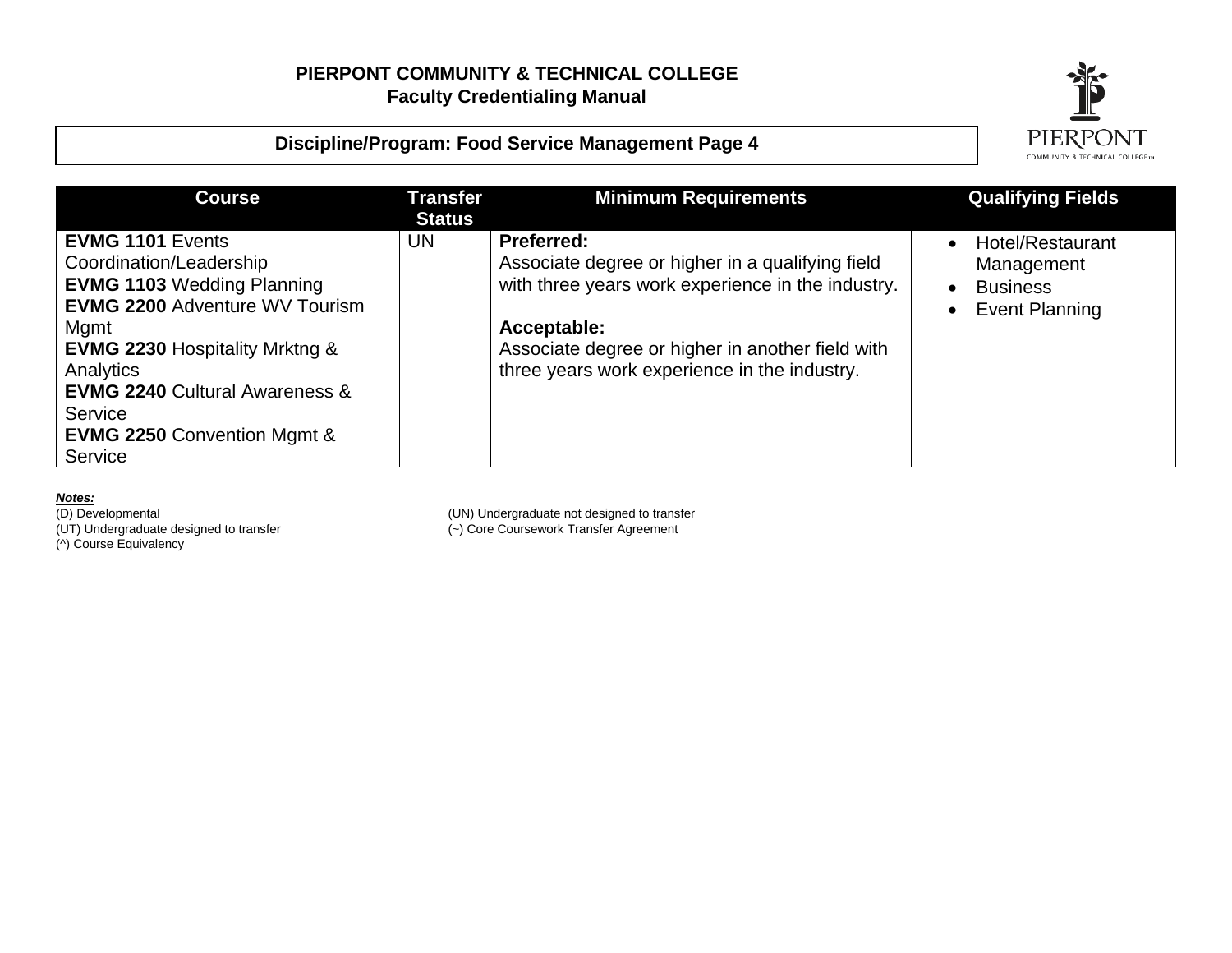



| <b>Course</b>                                                                                                                                                                                                                                                                                                   | <b>Transfer</b><br><b>Status</b> | <b>Minimum Requirements</b>                                                                                                                                                                                                                   | <b>Qualifying Fields</b>                                                   |
|-----------------------------------------------------------------------------------------------------------------------------------------------------------------------------------------------------------------------------------------------------------------------------------------------------------------|----------------------------------|-----------------------------------------------------------------------------------------------------------------------------------------------------------------------------------------------------------------------------------------------|----------------------------------------------------------------------------|
| <b>EVMG 1101 Events</b><br>Coordination/Leadership<br><b>EVMG 1103 Wedding Planning</b><br><b>EVMG 2200 Adventure WV Tourism</b><br>Mgmt<br><b>EVMG 2230 Hospitality Mrktng &amp;</b><br>Analytics<br><b>EVMG 2240 Cultural Awareness &amp;</b><br>Service<br><b>EVMG 2250 Convention Mgmt &amp;</b><br>Service | UN                               | <b>Preferred:</b><br>Associate degree or higher in a qualifying field<br>with three years work experience in the industry.<br>Acceptable:<br>Associate degree or higher in another field with<br>three years work experience in the industry. | Hotel/Restaurant<br>Management<br><b>Business</b><br><b>Event Planning</b> |

**Notes:**<br>(D) Developmental

(^) Course Equivalency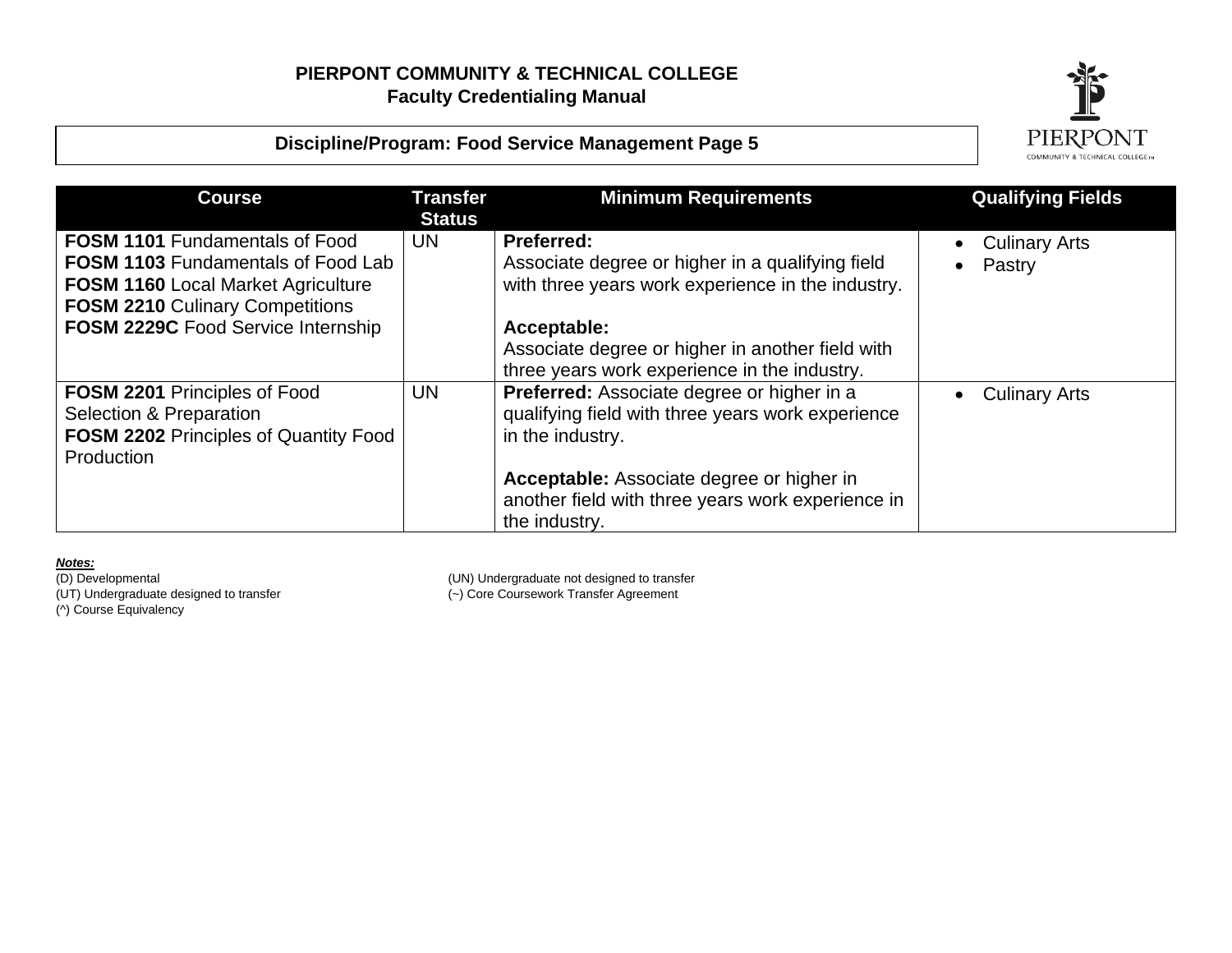



| <b>Course</b>                                                                                                                                                                                                   | <b>Transfer</b><br><b>Status</b> | <b>Minimum Requirements</b>                                                                                                                                                                                                                   | <b>Qualifying Fields</b>       |
|-----------------------------------------------------------------------------------------------------------------------------------------------------------------------------------------------------------------|----------------------------------|-----------------------------------------------------------------------------------------------------------------------------------------------------------------------------------------------------------------------------------------------|--------------------------------|
| <b>FOSM 1101 Fundamentals of Food</b><br><b>FOSM 1103 Fundamentals of Food Lab</b><br><b>FOSM 1160 Local Market Agriculture</b><br><b>FOSM 2210 Culinary Competitions</b><br>FOSM 2229C Food Service Internship | <b>UN</b>                        | <b>Preferred:</b><br>Associate degree or higher in a qualifying field<br>with three years work experience in the industry.<br>Acceptable:<br>Associate degree or higher in another field with<br>three years work experience in the industry. | <b>Culinary Arts</b><br>Pastry |
| <b>FOSM 2201 Principles of Food</b><br>Selection & Preparation<br><b>FOSM 2202 Principles of Quantity Food</b><br>Production                                                                                    | <b>UN</b>                        | Preferred: Associate degree or higher in a<br>qualifying field with three years work experience<br>in the industry.<br>Acceptable: Associate degree or higher in<br>another field with three years work experience in<br>the industry.        | <b>Culinary Arts</b>           |

**Notes:**<br>(D) Developmental (^) Course Equivalency

(D) Developmental (UN) Undergraduate not designed to transfer

(UT) Undergraduate designed to transfer (~) Core Coursework Transfer Agreement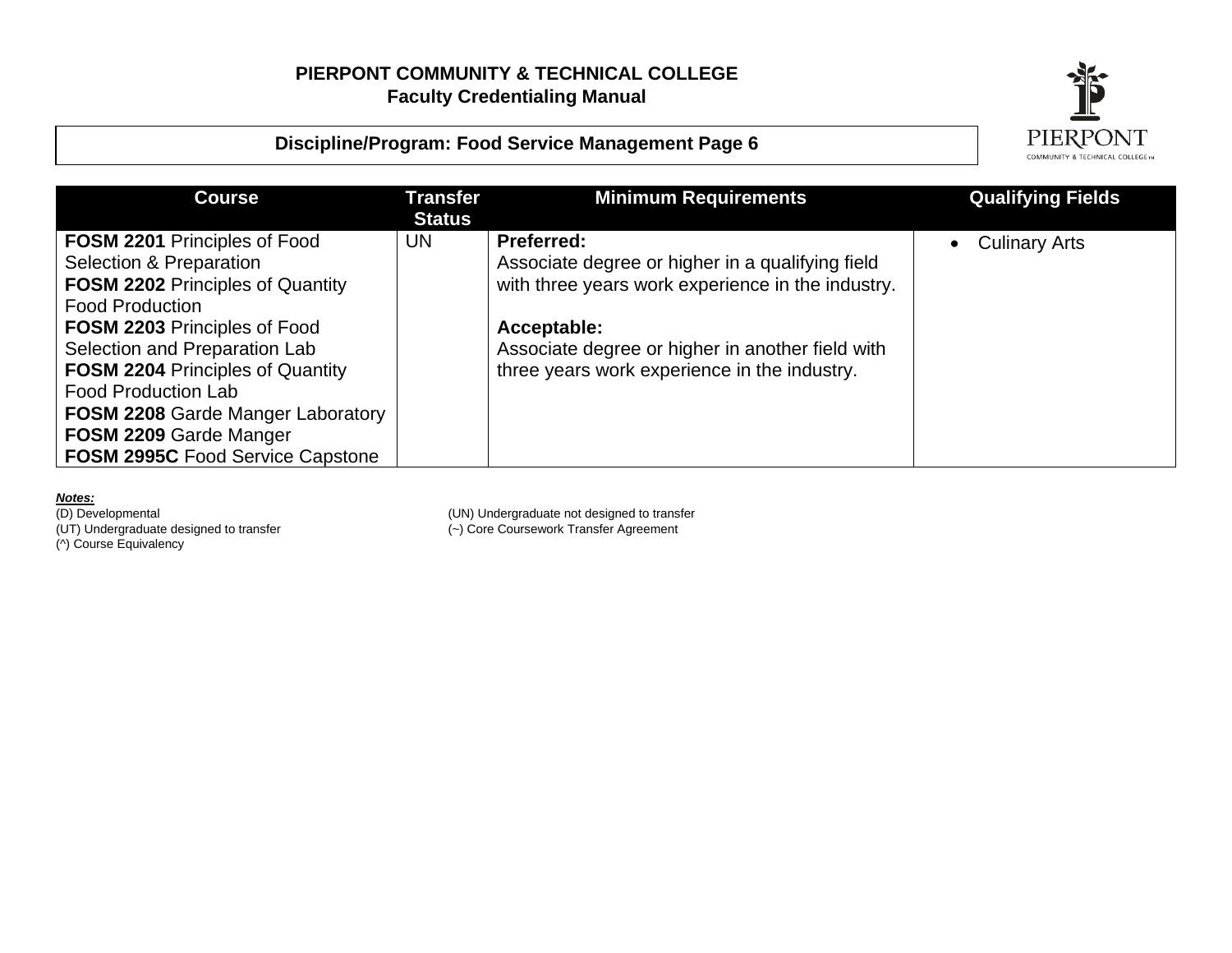



| <b>Course</b>                                                                                                                                                                                                                                                                                                                    | <b>Transfer</b><br><b>Status</b> | <b>Minimum Requirements</b>                                                                                                                                                                                                                   | <b>Qualifying Fields</b> |
|----------------------------------------------------------------------------------------------------------------------------------------------------------------------------------------------------------------------------------------------------------------------------------------------------------------------------------|----------------------------------|-----------------------------------------------------------------------------------------------------------------------------------------------------------------------------------------------------------------------------------------------|--------------------------|
| <b>FOSM 2201 Principles of Food</b><br>Selection & Preparation<br><b>FOSM 2202 Principles of Quantity</b><br><b>Food Production</b><br><b>FOSM 2203 Principles of Food</b><br>Selection and Preparation Lab<br><b>FOSM 2204 Principles of Quantity</b><br><b>Food Production Lab</b><br><b>FOSM 2208 Garde Manger Laboratory</b> | <b>UN</b>                        | <b>Preferred:</b><br>Associate degree or higher in a qualifying field<br>with three years work experience in the industry.<br>Acceptable:<br>Associate degree or higher in another field with<br>three years work experience in the industry. | <b>Culinary Arts</b>     |
| FOSM 2209 Garde Manger<br><b>FOSM 2995C Food Service Capstone</b>                                                                                                                                                                                                                                                                |                                  |                                                                                                                                                                                                                                               |                          |

**Notes:**<br>(D) Developmental

(^) Course Equivalency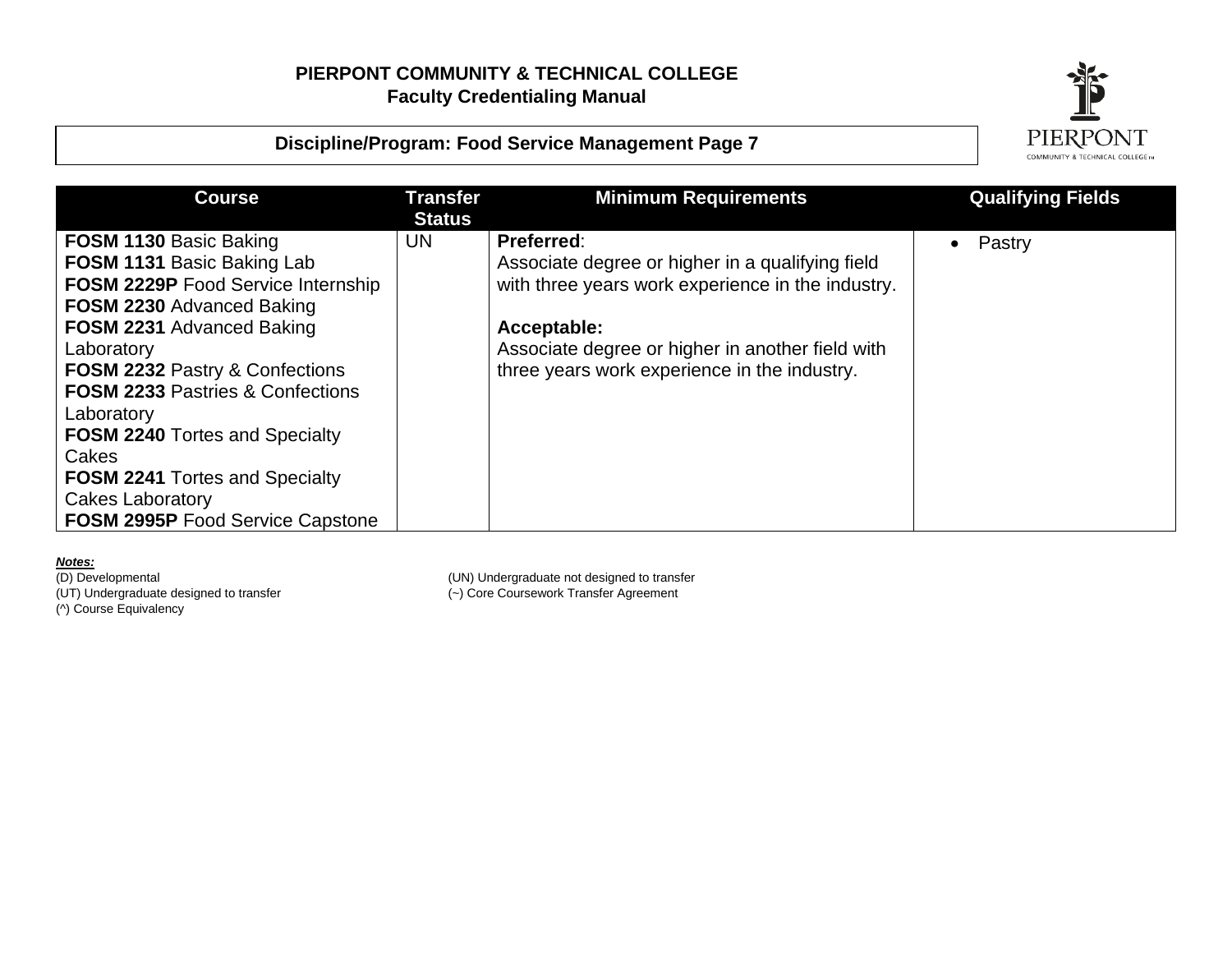



| <b>Course</b>                               | <b>Transfer</b><br><b>Status</b> | <b>Minimum Requirements</b>                       | <b>Qualifying Fields</b> |
|---------------------------------------------|----------------------------------|---------------------------------------------------|--------------------------|
| <b>FOSM 1130 Basic Baking</b>               | <b>UN</b>                        | Preferred:                                        | Pastry<br>$\bullet$      |
| <b>FOSM 1131 Basic Baking Lab</b>           |                                  | Associate degree or higher in a qualifying field  |                          |
| <b>FOSM 2229P Food Service Internship</b>   |                                  | with three years work experience in the industry. |                          |
| <b>FOSM 2230 Advanced Baking</b>            |                                  |                                                   |                          |
| <b>FOSM 2231 Advanced Baking</b>            |                                  | Acceptable:                                       |                          |
| Laboratory                                  |                                  | Associate degree or higher in another field with  |                          |
| FOSM 2232 Pastry & Confections              |                                  | three years work experience in the industry.      |                          |
| <b>FOSM 2233 Pastries &amp; Confections</b> |                                  |                                                   |                          |
| Laboratory                                  |                                  |                                                   |                          |
| <b>FOSM 2240 Tortes and Specialty</b>       |                                  |                                                   |                          |
| Cakes                                       |                                  |                                                   |                          |
| <b>FOSM 2241 Tortes and Specialty</b>       |                                  |                                                   |                          |
| Cakes Laboratory                            |                                  |                                                   |                          |
| <b>FOSM 2995P Food Service Capstone</b>     |                                  |                                                   |                          |

**Notes:**<br>(D) Developmental (UT) Undergraduate designed to transfer (~) Core Coursework Transfer Agreement (^) Course Equivalency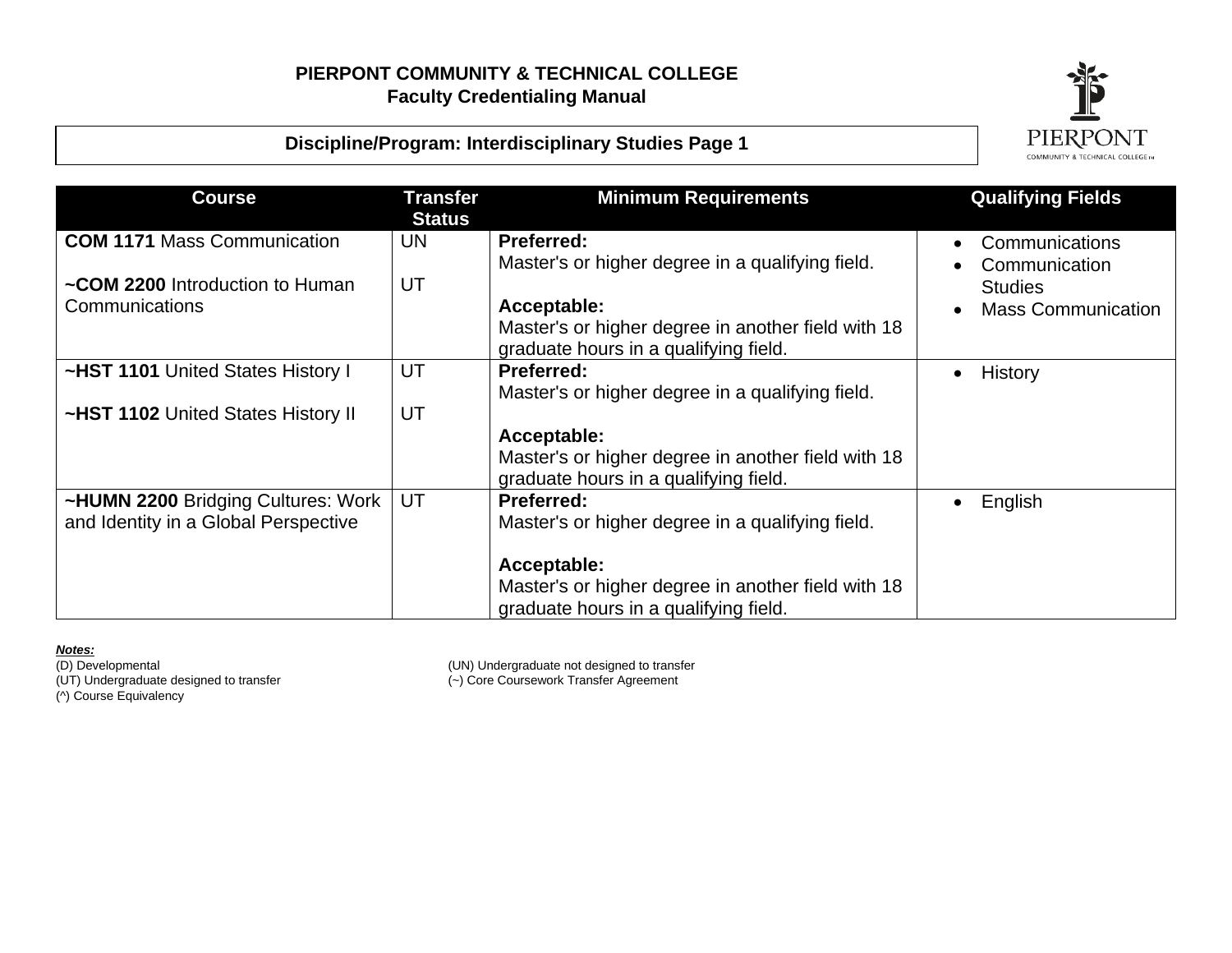



| <b>Course</b>                                     | Transfer<br><b>Status</b> | <b>Minimum Requirements</b>                                                                                | <b>Qualifying Fields</b>                                     |
|---------------------------------------------------|---------------------------|------------------------------------------------------------------------------------------------------------|--------------------------------------------------------------|
| <b>COM 1171 Mass Communication</b>                | UN.                       | <b>Preferred:</b>                                                                                          | Communications                                               |
| ~COM 2200 Introduction to Human<br>Communications | UT                        | Master's or higher degree in a qualifying field.<br>Acceptable:                                            | Communication<br><b>Studies</b><br><b>Mass Communication</b> |
|                                                   |                           | Master's or higher degree in another field with 18<br>graduate hours in a qualifying field.                |                                                              |
| ~HST 1101 United States History I                 | UT                        | <b>Preferred:</b>                                                                                          | History                                                      |
| ~HST 1102 United States History II                | UT                        | Master's or higher degree in a qualifying field.                                                           |                                                              |
|                                                   |                           | Acceptable:<br>Master's or higher degree in another field with 18<br>graduate hours in a qualifying field. |                                                              |
| ~HUMN 2200 Bridging Cultures: Work                | UT                        | <b>Preferred:</b>                                                                                          | English                                                      |
| and Identity in a Global Perspective              |                           | Master's or higher degree in a qualifying field.                                                           |                                                              |
|                                                   |                           | Acceptable:<br>Master's or higher degree in another field with 18<br>graduate hours in a qualifying field. |                                                              |

*Notes<u>:</u><br>(D) Developmental<br>(UT) Undergraduate designed to transfer* (UT) Undergraduate designed to transfer (~) Core Coursework Transfer Agreement

(^) Course Equivalency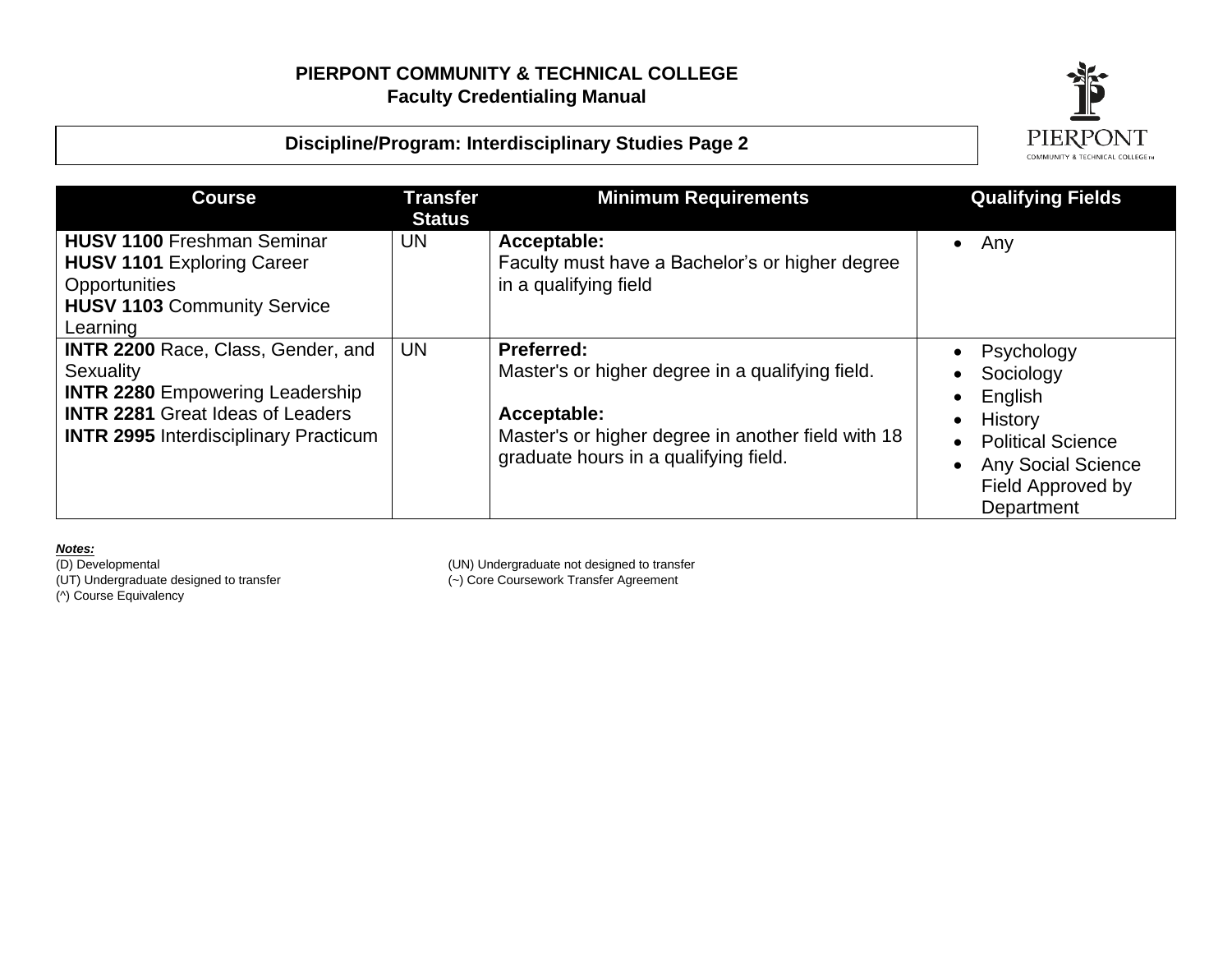



| <b>Course</b>                                                                                                                                                                               | <b>Transfer</b><br><b>Status</b> | <b>Minimum Requirements</b>                                                                                                                                                         | <b>Qualifying Fields</b>                                                                                                                  |
|---------------------------------------------------------------------------------------------------------------------------------------------------------------------------------------------|----------------------------------|-------------------------------------------------------------------------------------------------------------------------------------------------------------------------------------|-------------------------------------------------------------------------------------------------------------------------------------------|
| <b>HUSV 1100 Freshman Seminar</b><br><b>HUSV 1101 Exploring Career</b><br>Opportunities<br><b>HUSV 1103 Community Service</b><br>Learning                                                   | <b>UN</b>                        | Acceptable:<br>Faculty must have a Bachelor's or higher degree<br>in a qualifying field                                                                                             | Any<br>$\bullet$                                                                                                                          |
| <b>INTR 2200 Race, Class, Gender, and</b><br>Sexuality<br><b>INTR 2280 Empowering Leadership</b><br><b>INTR 2281 Great Ideas of Leaders</b><br><b>INTR 2995</b> Interdisciplinary Practicum | <b>UN</b>                        | <b>Preferred:</b><br>Master's or higher degree in a qualifying field.<br>Acceptable:<br>Master's or higher degree in another field with 18<br>graduate hours in a qualifying field. | Psychology<br>Sociology<br>English<br>History<br><b>Political Science</b><br><b>Any Social Science</b><br>Field Approved by<br>Department |

**Notes:**<br>(D) Developmental (^) Course Equivalency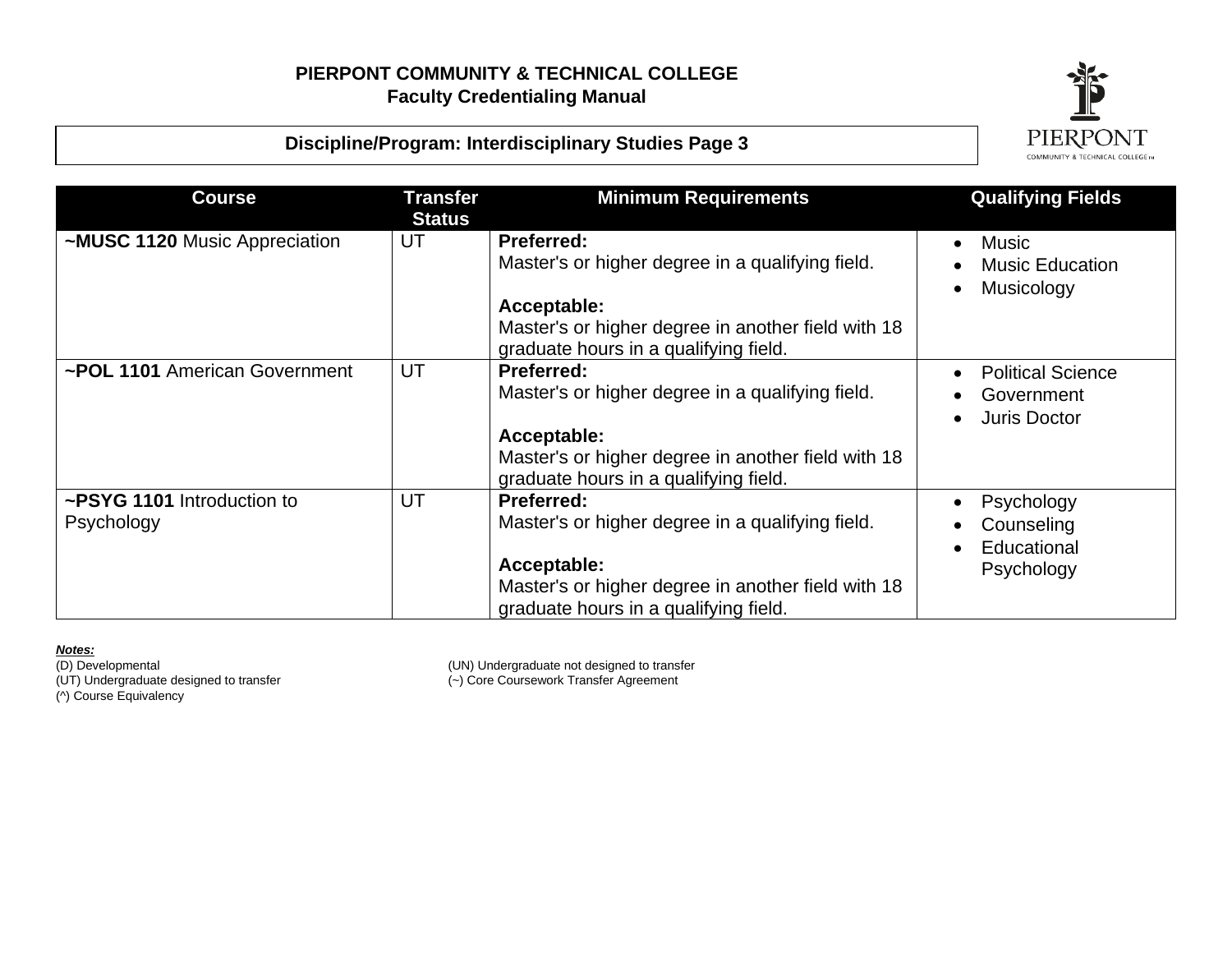

## **Discipline/Program: Interdisciplinary Studies Page 3**

| <b>Course</b>                            | Transfer<br><b>Status</b> | <b>Minimum Requirements</b>                                                                                                                                                         | <b>Qualifying Fields</b>                               |
|------------------------------------------|---------------------------|-------------------------------------------------------------------------------------------------------------------------------------------------------------------------------------|--------------------------------------------------------|
| ~MUSC 1120 Music Appreciation            | UT                        | <b>Preferred:</b><br>Master's or higher degree in a qualifying field.<br>Acceptable:<br>Master's or higher degree in another field with 18<br>graduate hours in a qualifying field. | <b>Music</b><br><b>Music Education</b><br>Musicology   |
| ~POL 1101 American Government            | UT                        | <b>Preferred:</b><br>Master's or higher degree in a qualifying field.<br>Acceptable:<br>Master's or higher degree in another field with 18<br>graduate hours in a qualifying field. | <b>Political Science</b><br>Government<br>Juris Doctor |
| ~PSYG 1101 Introduction to<br>Psychology | UT                        | <b>Preferred:</b><br>Master's or higher degree in a qualifying field.<br>Acceptable:<br>Master's or higher degree in another field with 18<br>graduate hours in a qualifying field. | Psychology<br>Counseling<br>Educational<br>Psychology  |

*Notes<u>:</u><br>(D) Developmental<br>(UT) Undergraduate designed to transfer* (UT) Undergraduate designed to transfer (~) Core Coursework Transfer Agreement

(^) Course Equivalency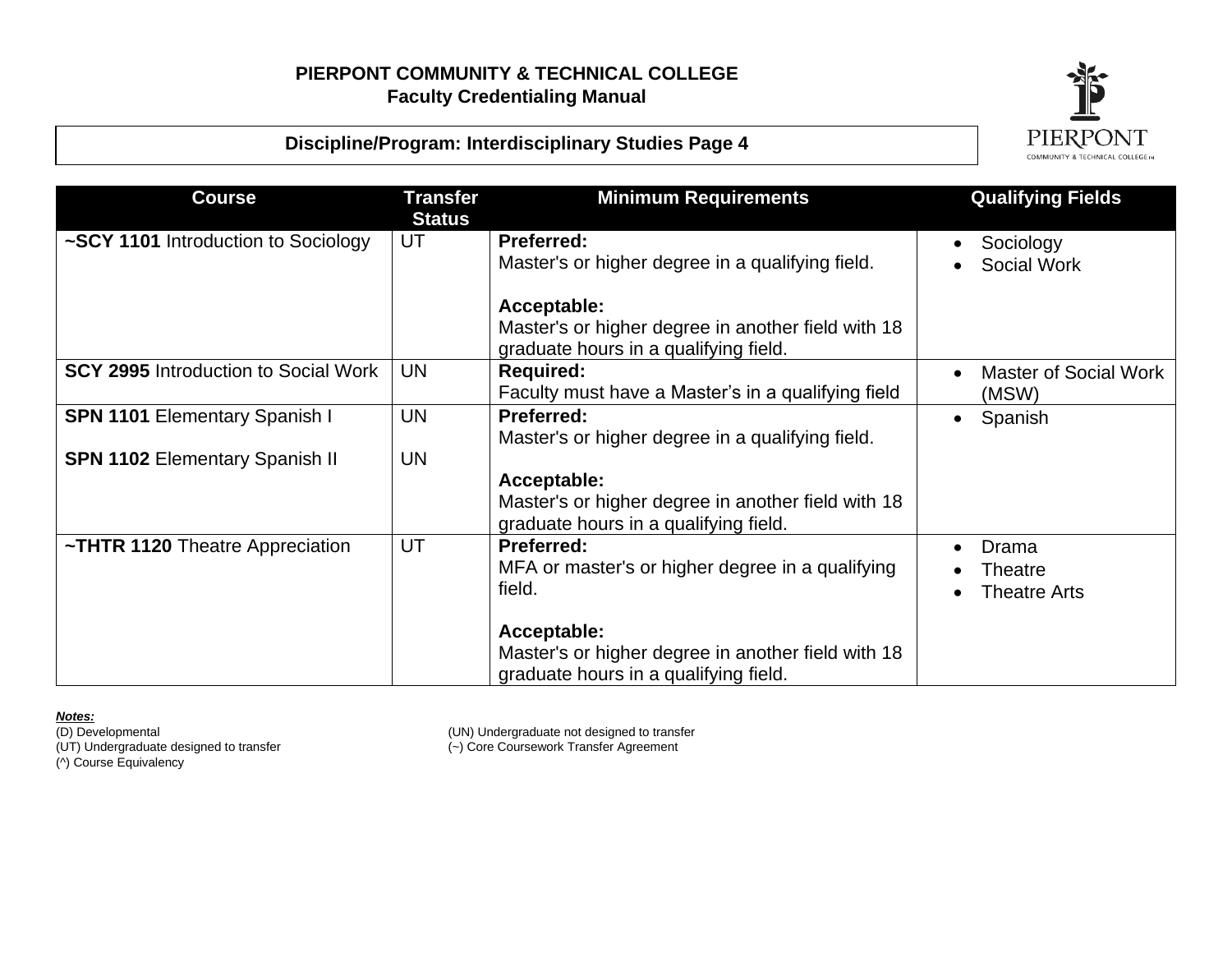

### **Discipline/Program: Interdisciplinary Studies Page 4**

| <b>Course</b>                               | <b>Transfer</b><br><b>Status</b> | <b>Minimum Requirements</b>                                                                                | <b>Qualifying Fields</b>                |
|---------------------------------------------|----------------------------------|------------------------------------------------------------------------------------------------------------|-----------------------------------------|
| ~SCY 1101 Introduction to Sociology         | UT                               | <b>Preferred:</b><br>Master's or higher degree in a qualifying field.                                      | Sociology<br>Social Work                |
|                                             |                                  | Acceptable:<br>Master's or higher degree in another field with 18<br>graduate hours in a qualifying field. |                                         |
| <b>SCY 2995</b> Introduction to Social Work | <b>UN</b>                        | <b>Required:</b><br>Faculty must have a Master's in a qualifying field                                     | Master of Social Work<br>(MSW)          |
| <b>SPN 1101 Elementary Spanish I</b>        | <b>UN</b>                        | <b>Preferred:</b><br>Master's or higher degree in a qualifying field.                                      | Spanish<br>$\bullet$                    |
| <b>SPN 1102 Elementary Spanish II</b>       | <b>UN</b>                        | Acceptable:<br>Master's or higher degree in another field with 18<br>graduate hours in a qualifying field. |                                         |
| ~THTR 1120 Theatre Appreciation             | UT                               | <b>Preferred:</b><br>MFA or master's or higher degree in a qualifying<br>field.                            | Drama<br>Theatre<br><b>Theatre Arts</b> |
|                                             |                                  | Acceptable:<br>Master's or higher degree in another field with 18<br>graduate hours in a qualifying field. |                                         |

**Notes:**<br>(D) Developmental (UT) Undergraduate designed to transfer<br>(^) Course Equivalency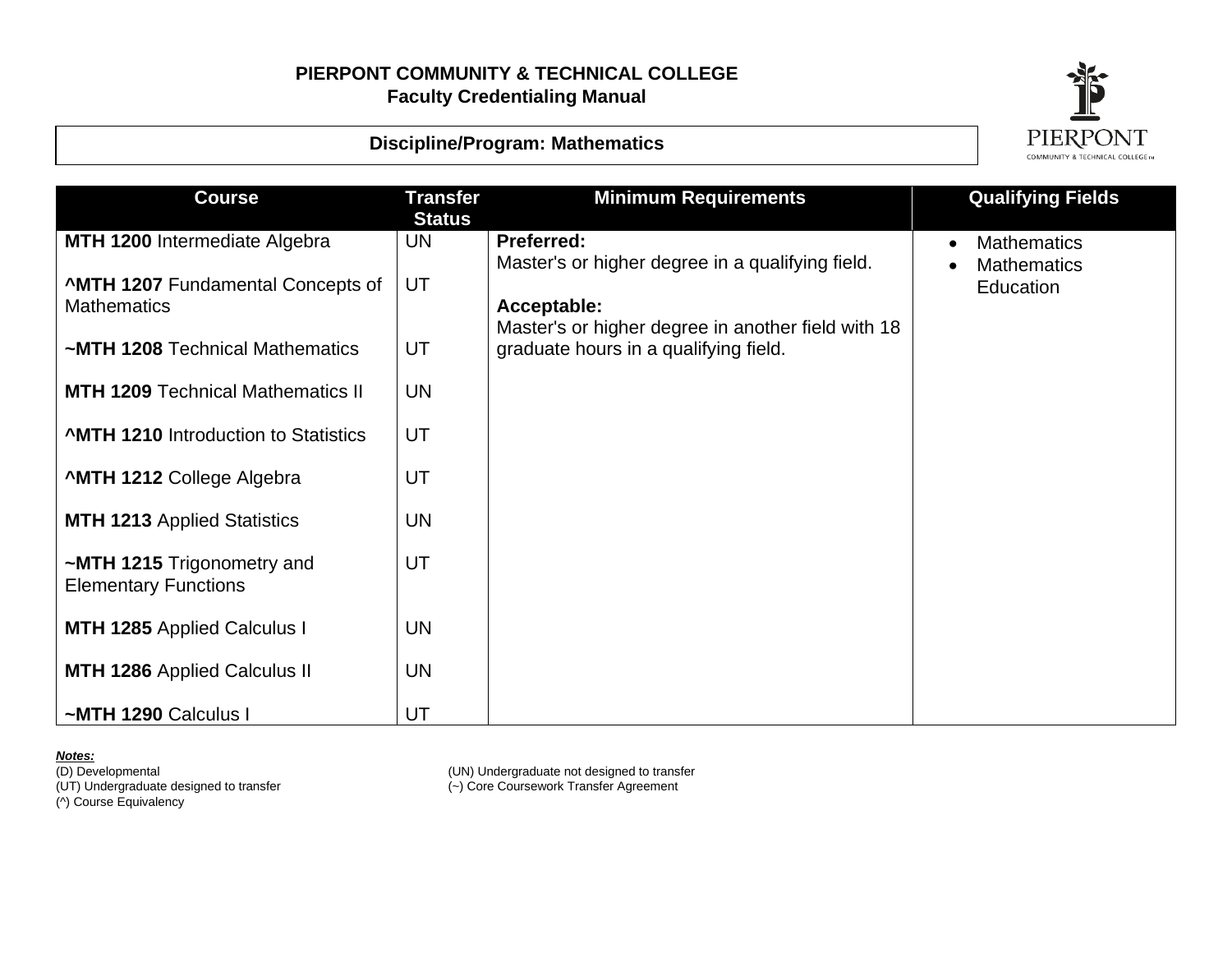![](_page_15_Picture_1.jpeg)

#### **Discipline/Program: Mathematics**

| <b>Course</b>                                                  | <b>Transfer</b><br><b>Status</b> | <b>Minimum Requirements</b>                                                                 | <b>Qualifying Fields</b>                 |
|----------------------------------------------------------------|----------------------------------|---------------------------------------------------------------------------------------------|------------------------------------------|
| <b>MTH 1200 Intermediate Algebra</b>                           | <b>UN</b>                        | <b>Preferred:</b><br>Master's or higher degree in a qualifying field.                       | <b>Mathematics</b><br><b>Mathematics</b> |
| <b>^MTH 1207 Fundamental Concepts of</b><br><b>Mathematics</b> | UT                               | Acceptable:                                                                                 | Education                                |
| ~MTH 1208 Technical Mathematics                                | UT                               | Master's or higher degree in another field with 18<br>graduate hours in a qualifying field. |                                          |
| <b>MTH 1209 Technical Mathematics II</b>                       | <b>UN</b>                        |                                                                                             |                                          |
| <b>AMTH 1210</b> Introduction to Statistics                    | UT                               |                                                                                             |                                          |
| <b>^MTH 1212 College Algebra</b>                               | UT                               |                                                                                             |                                          |
| <b>MTH 1213 Applied Statistics</b>                             | <b>UN</b>                        |                                                                                             |                                          |
| ~MTH 1215 Trigonometry and<br><b>Elementary Functions</b>      | UT                               |                                                                                             |                                          |
| <b>MTH 1285</b> Applied Calculus I                             | <b>UN</b>                        |                                                                                             |                                          |
| <b>MTH 1286</b> Applied Calculus II                            | <b>UN</b>                        |                                                                                             |                                          |
| ~MTH 1290 Calculus I                                           | UT                               |                                                                                             |                                          |

**Notes:**<br>(D) Developmental

(^) Course Equivalency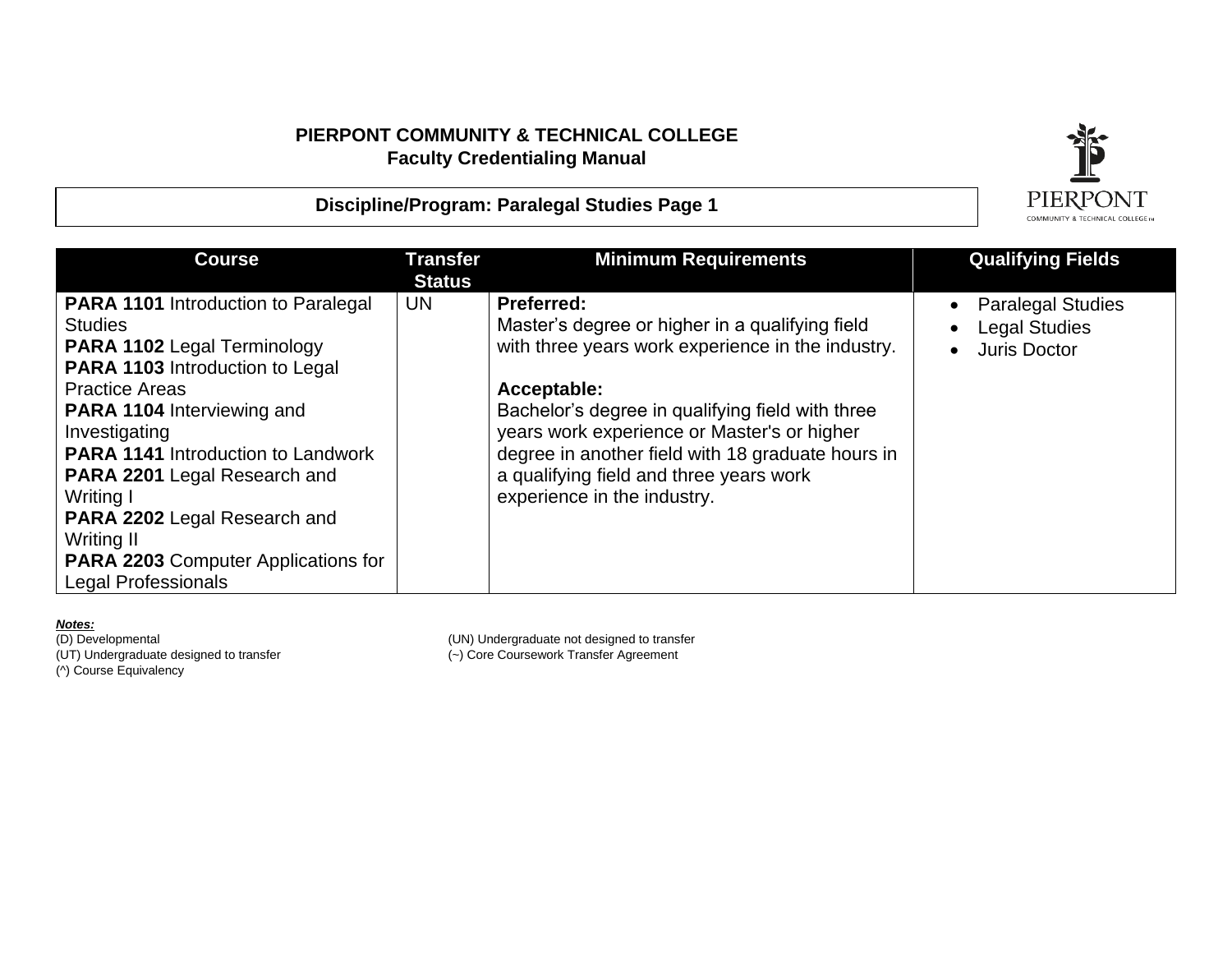![](_page_16_Picture_1.jpeg)

#### **Discipline/Program: Paralegal Studies Page 1**

| <b>Course</b>                                                                                                                                                                                                                                                                                                                                                                                                                                                 | <b>Transfer</b><br><b>Status</b> | <b>Minimum Requirements</b>                                                                                                                                                                                                                                                                                                                                                | <b>Qualifying Fields</b>                                                |
|---------------------------------------------------------------------------------------------------------------------------------------------------------------------------------------------------------------------------------------------------------------------------------------------------------------------------------------------------------------------------------------------------------------------------------------------------------------|----------------------------------|----------------------------------------------------------------------------------------------------------------------------------------------------------------------------------------------------------------------------------------------------------------------------------------------------------------------------------------------------------------------------|-------------------------------------------------------------------------|
| <b>PARA 1101</b> Introduction to Paralegal<br><b>Studies</b><br><b>PARA 1102 Legal Terminology</b><br><b>PARA 1103</b> Introduction to Legal<br><b>Practice Areas</b><br><b>PARA 1104</b> Interviewing and<br>Investigating<br><b>PARA 1141</b> Introduction to Landwork<br><b>PARA 2201 Legal Research and</b><br>Writing I<br><b>PARA 2202 Legal Research and</b><br>Writing II<br><b>PARA 2203 Computer Applications for</b><br><b>Legal Professionals</b> | UN.                              | <b>Preferred:</b><br>Master's degree or higher in a qualifying field<br>with three years work experience in the industry.<br>Acceptable:<br>Bachelor's degree in qualifying field with three<br>years work experience or Master's or higher<br>degree in another field with 18 graduate hours in<br>a qualifying field and three years work<br>experience in the industry. | <b>Paralegal Studies</b><br><b>Legal Studies</b><br><b>Juris Doctor</b> |

*Notes:*<br>(D) Developmental<br>(UT) Undergraduate designed to transfer

(D) Developmental (UN) Undergraduate not designed to transfer (UT) Undergraduate designed to transfer (~) Core Coursework Transfer Agreement

(^) Course Equivalency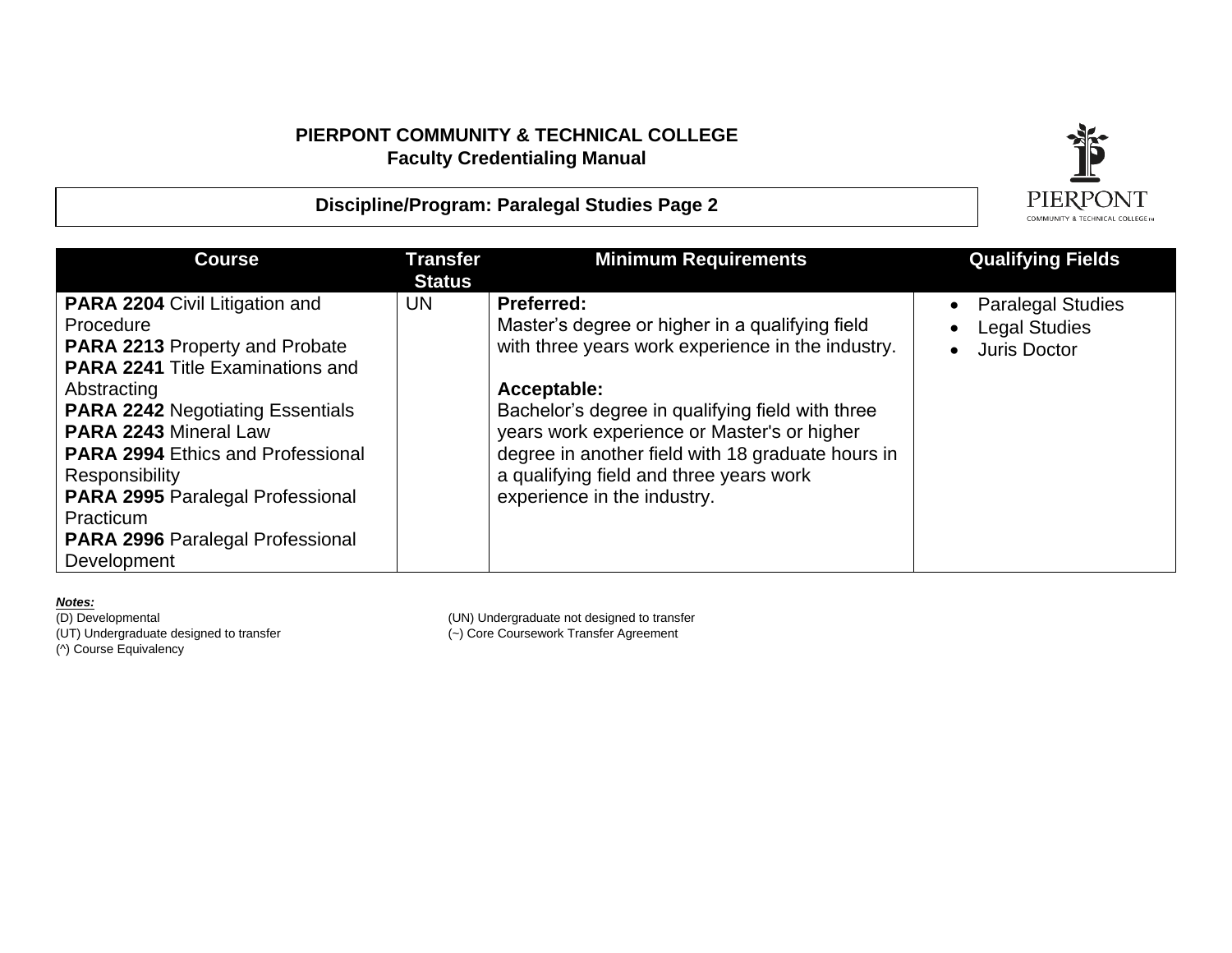**Discipline/Program: Paralegal Studies Page 2**

![](_page_17_Picture_1.jpeg)

| <b>Course</b>                            | Transfer<br><b>Status</b> | <b>Minimum Requirements</b>                       | <b>Qualifying Fields</b>              |
|------------------------------------------|---------------------------|---------------------------------------------------|---------------------------------------|
| <b>PARA 2204 Civil Litigation and</b>    | UN.                       | <b>Preferred:</b>                                 | <b>Paralegal Studies</b><br>$\bullet$ |
| Procedure                                |                           | Master's degree or higher in a qualifying field   | <b>Legal Studies</b><br>$\bullet$     |
| <b>PARA 2213 Property and Probate</b>    |                           | with three years work experience in the industry. | <b>Juris Doctor</b>                   |
| <b>PARA 2241 Title Examinations and</b>  |                           |                                                   |                                       |
| Abstracting                              |                           | Acceptable:                                       |                                       |
| <b>PARA 2242 Negotiating Essentials</b>  |                           | Bachelor's degree in qualifying field with three  |                                       |
| <b>PARA 2243 Mineral Law</b>             |                           | years work experience or Master's or higher       |                                       |
| <b>PARA 2994 Ethics and Professional</b> |                           | degree in another field with 18 graduate hours in |                                       |
| Responsibility                           |                           | a qualifying field and three years work           |                                       |
| <b>PARA 2995 Paralegal Professional</b>  |                           | experience in the industry.                       |                                       |
| Practicum                                |                           |                                                   |                                       |
| <b>PARA 2996 Paralegal Professional</b>  |                           |                                                   |                                       |

**Notes:**<br>(D) Developmental

(^) Course Equivalency

Development

(D) Developmental (UN) Undergraduate not designed to transfer<br>
(UT) Undergraduate designed to transfer<br>
(-) Core Coursework Transfer Agreement  $(-)$  Core Coursework Transfer Agreement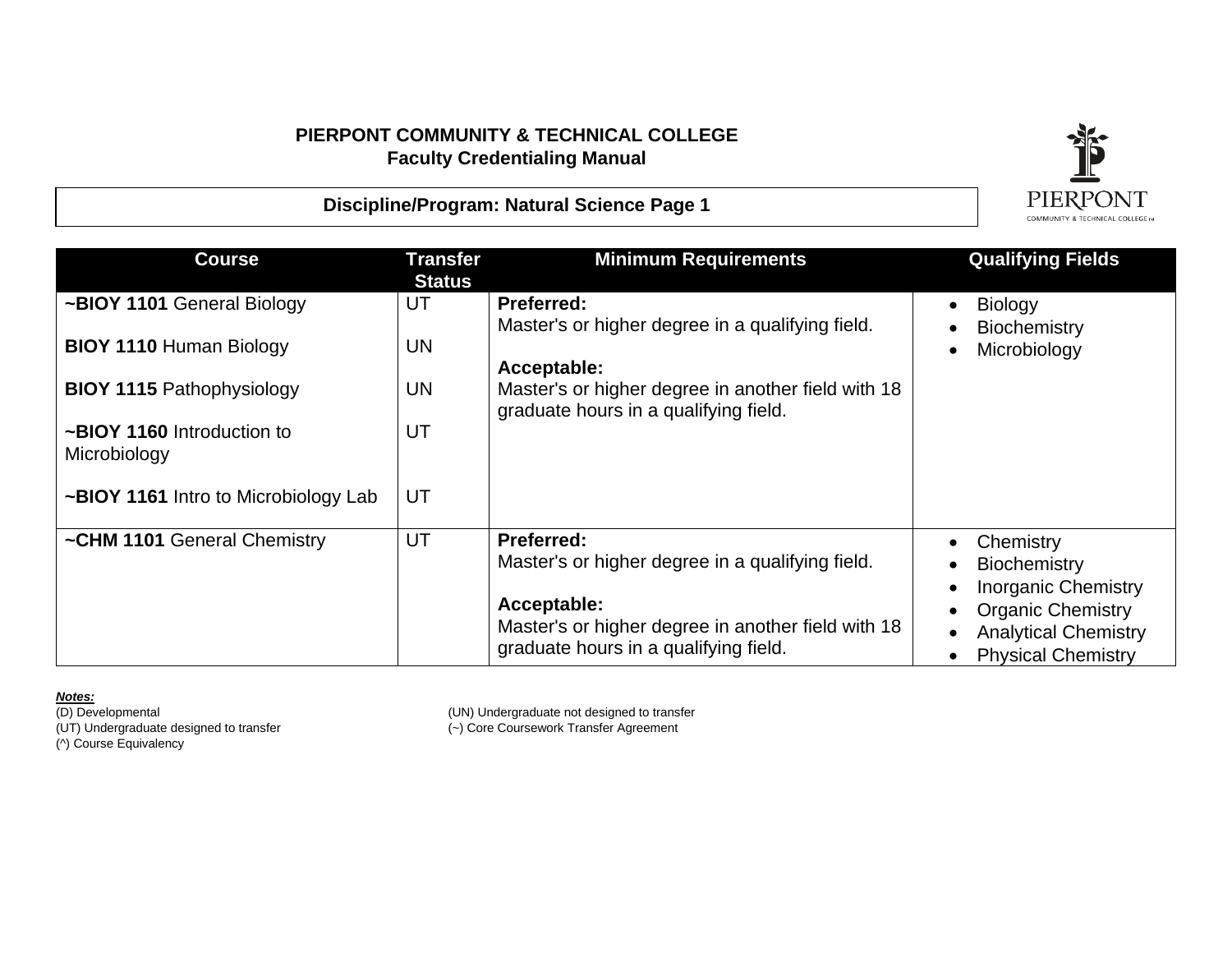![](_page_18_Picture_1.jpeg)

#### **Discipline/Program: Natural Science Page 1**

| <b>Course</b>                              | <b>Transfer</b><br><b>Status</b> | <b>Minimum Requirements</b>                                                                 | <b>Qualifying Fields</b>                                 |
|--------------------------------------------|----------------------------------|---------------------------------------------------------------------------------------------|----------------------------------------------------------|
| ~BIOY 1101 General Biology                 | UT                               | <b>Preferred:</b><br>Master's or higher degree in a qualifying field.                       | Biology<br>Biochemistry                                  |
| <b>BIOY 1110 Human Biology</b>             | <b>UN</b>                        | Acceptable:                                                                                 | Microbiology                                             |
| <b>BIOY 1115 Pathophysiology</b>           | <b>UN</b>                        | Master's or higher degree in another field with 18<br>graduate hours in a qualifying field. |                                                          |
| ~BIOY 1160 Introduction to<br>Microbiology | UT                               |                                                                                             |                                                          |
| ~BIOY 1161 Intro to Microbiology Lab       | UT                               |                                                                                             |                                                          |
| ~CHM 1101 General Chemistry                | UT                               | <b>Preferred:</b>                                                                           | Chemistry                                                |
|                                            |                                  | Master's or higher degree in a qualifying field.                                            | <b>Biochemistry</b>                                      |
|                                            |                                  |                                                                                             | <b>Inorganic Chemistry</b>                               |
|                                            |                                  | Acceptable:<br>Master's or higher degree in another field with 18                           | <b>Organic Chemistry</b>                                 |
|                                            |                                  | graduate hours in a qualifying field.                                                       | <b>Analytical Chemistry</b><br><b>Physical Chemistry</b> |

**Notes:**<br>(D) Developmental (^) Course Equivalency

(D) Developmental (UN) Undergraduate not designed to transfer<br>
(UT) Undergraduate designed to transfer<br>
(-) Core Coursework Transfer Agreement  $(-)$  Core Coursework Transfer Agreement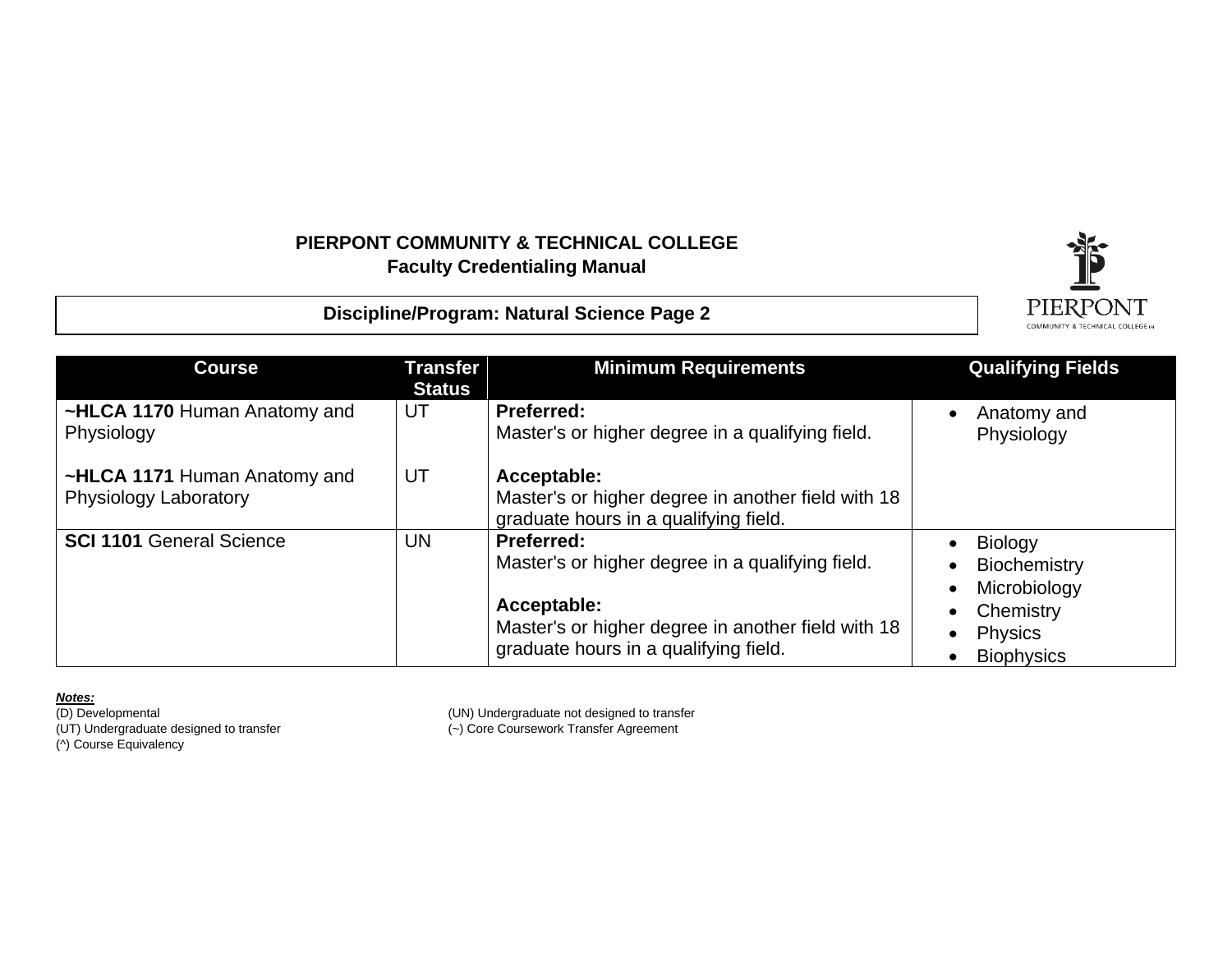**Discipline/Program: Natural Science Page 2**

![](_page_19_Picture_2.jpeg)

| <b>Course</b>                                         | <b>Transfer</b><br><b>Status</b> | <b>Minimum Requirements</b>                                                                                                                                                         | <b>Qualifying Fields</b>                                                                           |
|-------------------------------------------------------|----------------------------------|-------------------------------------------------------------------------------------------------------------------------------------------------------------------------------------|----------------------------------------------------------------------------------------------------|
| ~HLCA 1170 Human Anatomy and<br>Physiology            | UT                               | <b>Preferred:</b><br>Master's or higher degree in a qualifying field.                                                                                                               | Anatomy and<br>Physiology                                                                          |
| ~HLCA 1171 Human Anatomy and<br>Physiology Laboratory | UT                               | Acceptable:<br>Master's or higher degree in another field with 18<br>graduate hours in a qualifying field.                                                                          |                                                                                                    |
| <b>SCI 1101 General Science</b>                       | <b>UN</b>                        | <b>Preferred:</b><br>Master's or higher degree in a qualifying field.<br>Acceptable:<br>Master's or higher degree in another field with 18<br>graduate hours in a qualifying field. | Biology<br><b>Biochemistry</b><br>Microbiology<br>Chemistry<br><b>Physics</b><br><b>Biophysics</b> |

*Notes:*

(UT) Undergraduate designed to transfer (~) Core Coursework Transfer Agreement (D) Developmental<br>(UT) Undergraduate designed to transfer<br>(^) Course Equivalency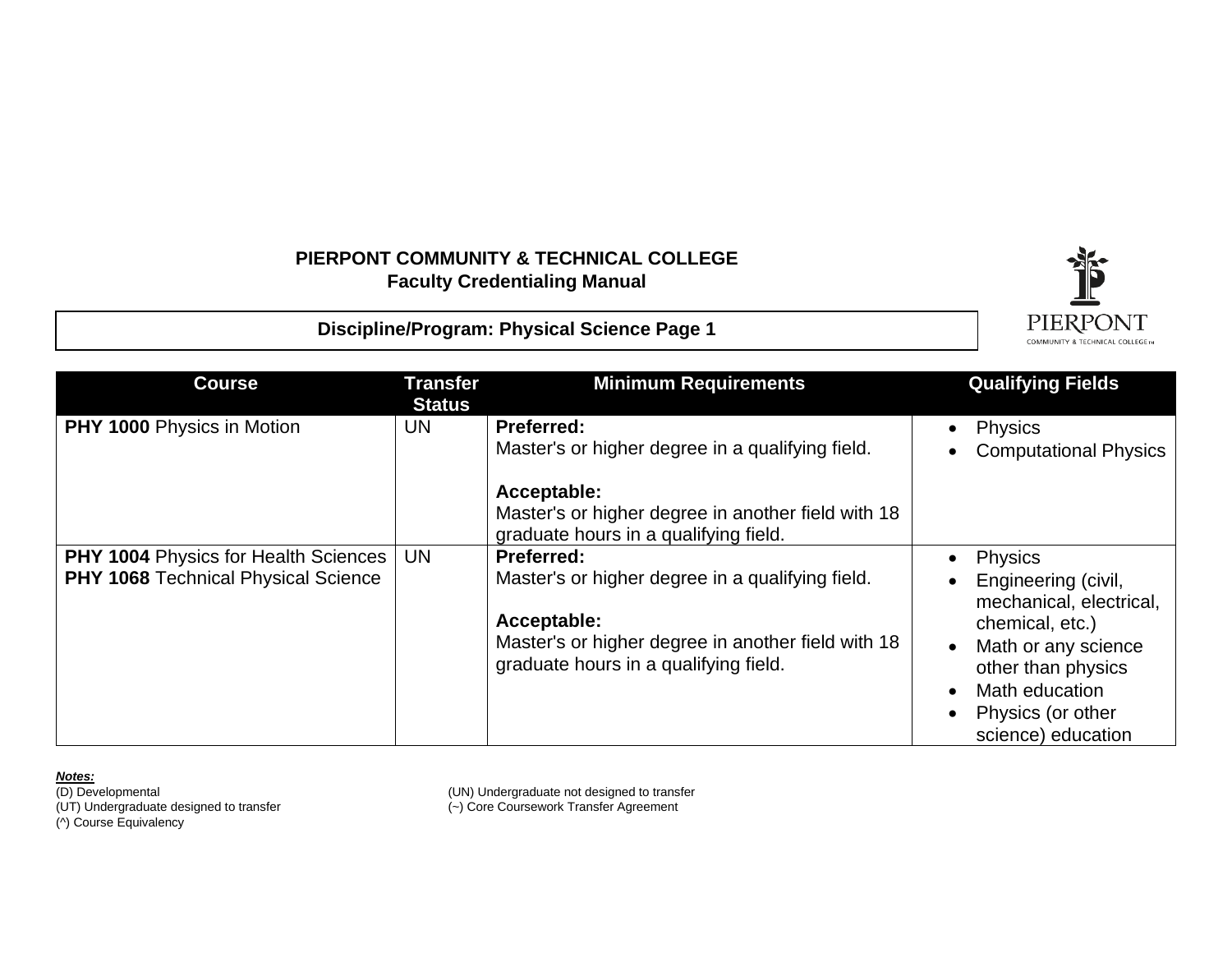**Discipline/Program: Physical Science Page 1** 

![](_page_20_Picture_2.jpeg)

| <b>Course</b>                                                                             | <b>Transfer</b><br><b>Status</b> | <b>Minimum Requirements</b>                                                                                                                                                         | <b>Qualifying Fields</b>                                                                                                                                                                      |
|-------------------------------------------------------------------------------------------|----------------------------------|-------------------------------------------------------------------------------------------------------------------------------------------------------------------------------------|-----------------------------------------------------------------------------------------------------------------------------------------------------------------------------------------------|
| PHY 1000 Physics in Motion                                                                | UN                               | <b>Preferred:</b><br>Master's or higher degree in a qualifying field.<br>Acceptable:<br>Master's or higher degree in another field with 18<br>graduate hours in a qualifying field. | <b>Physics</b><br><b>Computational Physics</b>                                                                                                                                                |
| <b>PHY 1004 Physics for Health Sciences</b><br><b>PHY 1068 Technical Physical Science</b> | <b>UN</b>                        | <b>Preferred:</b><br>Master's or higher degree in a qualifying field.<br>Acceptable:<br>Master's or higher degree in another field with 18<br>graduate hours in a qualifying field. | <b>Physics</b><br>Engineering (civil,<br>mechanical, electrical,<br>chemical, etc.)<br>Math or any science<br>other than physics<br>Math education<br>Physics (or other<br>science) education |

**Notes:**<br>(D) Developmental

(^) Course Equivalency

(D) Developmental (UN) Undergraduate not designed to transfer

(UT) Undergraduate designed to transfer (~) Core Coursework Transfer Agreement